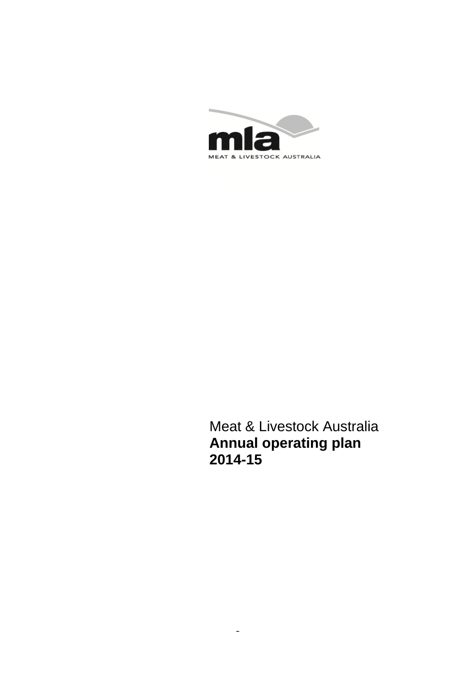

Meat & Livestock Australia **Annual operating plan 2014-15** 

1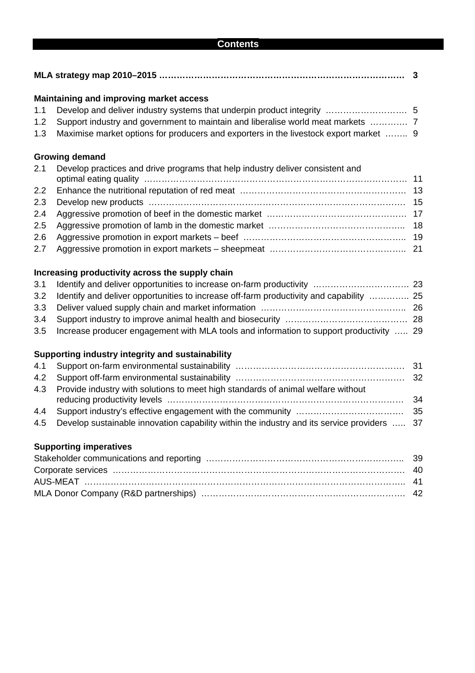#### **Contents**

|     | Maintaining and improving market access                                                 |  |  |  |  |  |
|-----|-----------------------------------------------------------------------------------------|--|--|--|--|--|
| 1.1 |                                                                                         |  |  |  |  |  |
| 1.2 | Support industry and government to maintain and liberalise world meat markets           |  |  |  |  |  |
| 1.3 | Maximise market options for producers and exporters in the livestock export market  9   |  |  |  |  |  |
|     | <b>Growing demand</b>                                                                   |  |  |  |  |  |
| 2.1 | Develop practices and drive programs that help industry deliver consistent and          |  |  |  |  |  |
| 2.2 |                                                                                         |  |  |  |  |  |
| 2.3 |                                                                                         |  |  |  |  |  |
| 2.4 |                                                                                         |  |  |  |  |  |
| 2.5 |                                                                                         |  |  |  |  |  |
| 2.6 |                                                                                         |  |  |  |  |  |
| 2.7 |                                                                                         |  |  |  |  |  |
|     | Increasing productivity across the supply chain                                         |  |  |  |  |  |
| 3.1 |                                                                                         |  |  |  |  |  |
| 3.2 | Identify and deliver opportunities to increase off-farm productivity and capability  25 |  |  |  |  |  |
| 3.3 |                                                                                         |  |  |  |  |  |

4.3 Provide industry with solutions to meet high standards of animal welfare without reducing productivity levels ……………………………………………………………………… 34

4.1 Support on-farm environmental sustainability …………………………………………………. 31 4.2 Support off-farm environmental sustainability …………………………………………………. 32

3.4 Support industry to improve animal health and biosecurity …………………………………… 28 3.5 Increase producer engagement with MLA tools and information to support productivity ….. 29

- 4.4 Support industry's effective engagement with the community …………………………………………… 35
- 4.5 Develop sustainable innovation capability within the industry and its service providers ….. 37

# **Supporting imperatives**

**Supporting industry integrity and sustainability**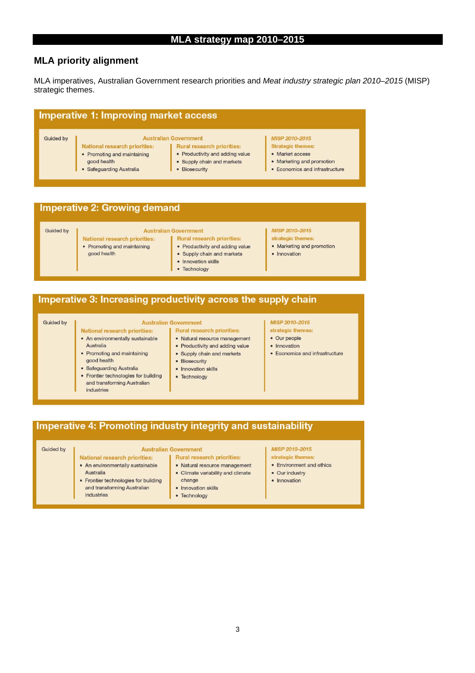#### **MLA priority alignment**

MLA imperatives, Australian Government research priorities and *Meat industry strategic plan 2010–2015* (MISP) strategic themes.

#### **Imperative 1: Improving market access**

#### Guided by

- **Australian Government** National research priorities: • Promoting and maintaining good health
	- · Safeguarding Australia

#### Rural research priorities: • Productivity and adding value

- · Supply chain and markets
- · Biosecurity

#### MISP 2010-2015 **Strategic themes:**

- Market access
- Marketing and promotion
- Economics and infrastructure

## **Imperative 2: Growing demand**

#### Guided by

# National research priorities:

- **Australian Government Rural research priorities:**
- Promoting and maintaining good health

- Productivity and adding value
- Supply chain and markets
- Innovation skills
- Technology

#### MISP 2010-2015 strategic themes:

- Marketing and promotion
- Innovation
- Imperative 3: Increasing productivity across the supply chain

#### Guided by

#### **Australian Government Rural research priorities:**

National research priorities: • An environmentally sustainable

• Frontier technologies for building

and transforming Australian

• Promoting and maintaining

· Safeguarding Australia

Australia

good health

industries

- · Natural resource management • Productivity and adding value
	- Supply chain and markets
	- Biosecurity
	- Innovation skills
	- Technology
- MISP 2010-2015 strategic themes:
- · Our people
- Innovation
- Economics and infrastructure
- Imperative 4: Promoting industry integrity and sustainability

#### **Guided by**

#### **Australian Government**

- National research priorities: • An environmentally sustainable Australia
	- Frontier technologies for building and transforming Australian

- · Natural resource management • Climate variability and climate change
- industries

#### • Innovation skills

• Technology

#### MISP 2010-2015

- strategic themes
- Environment and ethics
- Our industry
- Innovation

# **Rural research priorities:**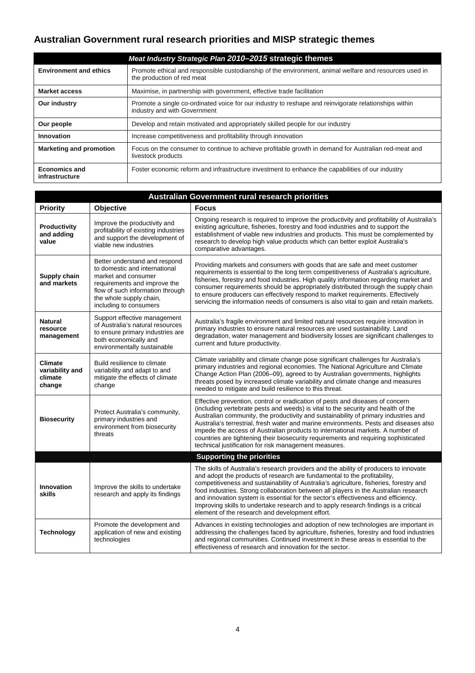# **Australian Government rural research priorities and MISP strategic themes**

|                                        | Meat Industry Strategic Plan 2010-2015 strategic themes                                                                               |
|----------------------------------------|---------------------------------------------------------------------------------------------------------------------------------------|
| <b>Environment and ethics</b>          | Promote ethical and responsible custodianship of the environment, animal welfare and resources used in<br>the production of red meat  |
| <b>Market access</b>                   | Maximise, in partnership with government, effective trade facilitation                                                                |
| Our industry                           | Promote a single co-ordinated voice for our industry to reshape and reinvigorate relationships within<br>industry and with Government |
| Our people                             | Develop and retain motivated and appropriately skilled people for our industry                                                        |
| Innovation                             | Increase competitiveness and profitability through innovation                                                                         |
| <b>Marketing and promotion</b>         | Focus on the consumer to continue to achieve profitable growth in demand for Australian red-meat and<br>livestock products            |
| <b>Economics and</b><br>infrastructure | Foster economic reform and infrastructure investment to enhance the capabilities of our industry                                      |

| <b>Australian Government rural research priorities</b> |                                                                                                                                                                                                                |                                                                                                                                                                                                                                                                                                                                                                                                                                                                                                                                                                                      |  |  |  |  |  |  |  |
|--------------------------------------------------------|----------------------------------------------------------------------------------------------------------------------------------------------------------------------------------------------------------------|--------------------------------------------------------------------------------------------------------------------------------------------------------------------------------------------------------------------------------------------------------------------------------------------------------------------------------------------------------------------------------------------------------------------------------------------------------------------------------------------------------------------------------------------------------------------------------------|--|--|--|--|--|--|--|
| <b>Priority</b>                                        | Objective                                                                                                                                                                                                      | <b>Focus</b>                                                                                                                                                                                                                                                                                                                                                                                                                                                                                                                                                                         |  |  |  |  |  |  |  |
| Productivity<br>and adding<br>value                    | Improve the productivity and<br>profitability of existing industries<br>and support the development of<br>viable new industries                                                                                | Ongoing research is required to improve the productivity and profitability of Australia's<br>existing agriculture, fisheries, forestry and food industries and to support the<br>establishment of viable new industries and products. This must be complemented by<br>research to develop high value products which can better exploit Australia's<br>comparative advantages.                                                                                                                                                                                                        |  |  |  |  |  |  |  |
| Supply chain<br>and markets                            | Better understand and respond<br>to domestic and international<br>market and consumer<br>requirements and improve the<br>flow of such information through<br>the whole supply chain,<br>including to consumers | Providing markets and consumers with goods that are safe and meet customer<br>requirements is essential to the long term competitiveness of Australia's agriculture,<br>fisheries, forestry and food industries. High quality information regarding market and<br>consumer requirements should be appropriately distributed through the supply chain<br>to ensure producers can effectively respond to market requirements. Effectively<br>servicing the information needs of consumers is also vital to gain and retain markets.                                                    |  |  |  |  |  |  |  |
| <b>Natural</b><br>resource<br>management               | Support effective management<br>of Australia's natural resources<br>to ensure primary industries are<br>both economically and<br>environmentally sustainable                                                   | Australia's fragile environment and limited natural resources require innovation in<br>primary industries to ensure natural resources are used sustainability. Land<br>degradation, water management and biodiversity losses are significant challenges to<br>current and future productivity.                                                                                                                                                                                                                                                                                       |  |  |  |  |  |  |  |
| <b>Climate</b><br>variability and<br>climate<br>change | Build resilience to climate<br>variability and adapt to and<br>mitigate the effects of climate<br>change                                                                                                       | Climate variability and climate change pose significant challenges for Australia's<br>primary industries and regional economies. The National Agriculture and Climate<br>Change Action Plan (2006-09), agreed to by Australian governments, highlights<br>threats posed by increased climate variability and climate change and measures<br>needed to mitigate and build resilience to this threat.                                                                                                                                                                                  |  |  |  |  |  |  |  |
| <b>Biosecurity</b>                                     | Protect Australia's community,<br>primary industries and<br>environment from biosecurity<br>threats                                                                                                            | Effective prevention, control or eradication of pests and diseases of concern<br>(including vertebrate pests and weeds) is vital to the security and health of the<br>Australian community, the productivity and sustainability of primary industries and<br>Australia's terrestrial, fresh water and marine environments. Pests and diseases also<br>impede the access of Australian products to international markets. A number of<br>countries are tightening their biosecurity requirements and requiring sophisticated<br>technical justification for risk management measures. |  |  |  |  |  |  |  |
|                                                        |                                                                                                                                                                                                                | <b>Supporting the priorities</b>                                                                                                                                                                                                                                                                                                                                                                                                                                                                                                                                                     |  |  |  |  |  |  |  |
| <b>Innovation</b><br>skills                            | Improve the skills to undertake<br>research and apply its findings                                                                                                                                             | The skills of Australia's research providers and the ability of producers to innovate<br>and adopt the products of research are fundamental to the profitability,<br>competitiveness and sustainability of Australia's agriculture, fisheries, forestry and<br>food industries. Strong collaboration between all players in the Australian research<br>and innovation system is essential for the sector's effectiveness and efficiency.<br>Improving skills to undertake research and to apply research findings is a critical<br>element of the research and development effort.   |  |  |  |  |  |  |  |
| <b>Technology</b>                                      | Promote the development and<br>application of new and existing<br>technologies                                                                                                                                 | Advances in existing technologies and adoption of new technologies are important in<br>addressing the challenges faced by agriculture, fisheries, forestry and food industries<br>and regional communities. Continued investment in these areas is essential to the<br>effectiveness of research and innovation for the sector.                                                                                                                                                                                                                                                      |  |  |  |  |  |  |  |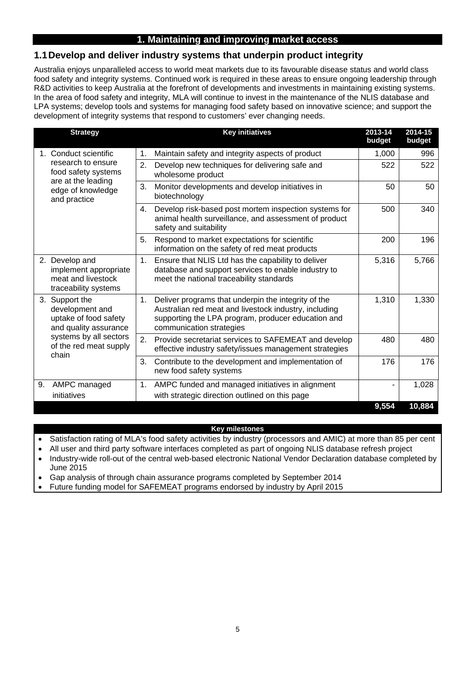# **1. Maintaining and improving market access**

# **1.1 Develop and deliver industry systems that underpin product integrity**

Australia enjoys unparalleled access to world meat markets due to its favourable disease status and world class food safety and integrity systems. Continued work is required in these areas to ensure ongoing leadership through R&D activities to keep Australia at the forefront of developments and investments in maintaining existing systems. In the area of food safety and integrity, MLA will continue to invest in the maintenance of the NLIS database and LPA systems; develop tools and systems for managing food safety based on innovative science; and support the development of integrity systems that respond to customers' ever changing needs.

| <b>Strategy</b>                                                                       | <b>Key initiatives</b>                                                                                                                                                                               | 2013-14<br>budget | 2014-15<br>budget |
|---------------------------------------------------------------------------------------|------------------------------------------------------------------------------------------------------------------------------------------------------------------------------------------------------|-------------------|-------------------|
| 1. Conduct scientific                                                                 | Maintain safety and integrity aspects of product<br>1.                                                                                                                                               | 1,000             | 996               |
| research to ensure<br>food safety systems<br>are at the leading                       | 2.<br>Develop new techniques for delivering safe and<br>wholesome product                                                                                                                            | 522               | 522               |
| edge of knowledge<br>and practice                                                     | 3.<br>Monitor developments and develop initiatives in<br>biotechnology                                                                                                                               | 50                | 50                |
|                                                                                       | Develop risk-based post mortem inspection systems for<br>4.<br>animal health surveillance, and assessment of product<br>safety and suitability                                                       | 500               | 340               |
|                                                                                       | 5.<br>Respond to market expectations for scientific<br>information on the safety of red meat products                                                                                                | 200               | 196               |
| 2. Develop and<br>implement appropriate<br>meat and livestock<br>traceability systems | Ensure that NLIS Ltd has the capability to deliver<br>1.<br>database and support services to enable industry to<br>meet the national traceability standards                                          | 5,316             | 5,766             |
| 3. Support the<br>development and<br>uptake of food safety<br>and quality assurance   | 1.<br>Deliver programs that underpin the integrity of the<br>Australian red meat and livestock industry, including<br>supporting the LPA program, producer education and<br>communication strategies | 1,310             | 1,330             |
| systems by all sectors<br>of the red meat supply<br>chain                             | 2.<br>Provide secretariat services to SAFEMEAT and develop<br>effective industry safety/issues management strategies                                                                                 | 480               | 480               |
|                                                                                       | 3.<br>Contribute to the development and implementation of<br>new food safety systems                                                                                                                 | 176               | 176               |
| AMPC managed<br>9.<br>initiatives                                                     | AMPC funded and managed initiatives in alignment<br>1.<br>with strategic direction outlined on this page                                                                                             |                   | 1,028             |
|                                                                                       |                                                                                                                                                                                                      | 9,554             | 10,884            |

#### **Key milestones**

Satisfaction rating of MLA's food safety activities by industry (processors and AMIC) at more than 85 per cent

All user and third party software interfaces completed as part of ongoing NLIS database refresh project

• Industry-wide roll-out of the central web-based electronic National Vendor Declaration database completed by June 2015

Gap analysis of through chain assurance programs completed by September 2014

Future funding model for SAFEMEAT programs endorsed by industry by April 2015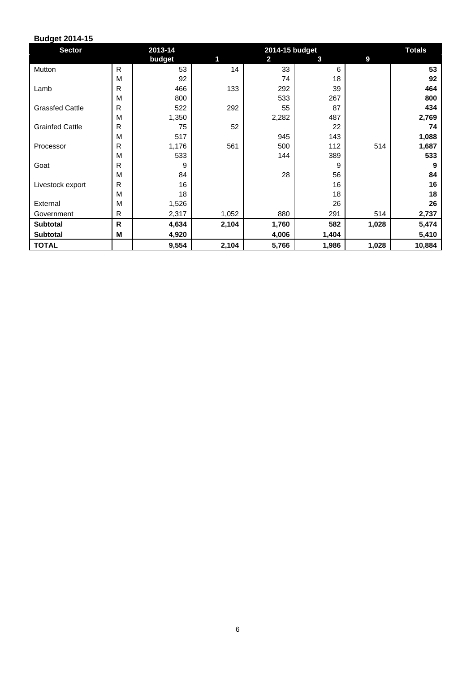| <b>Sector</b>          |              | 2013-14 |       | <b>Totals</b>           |       |       |        |
|------------------------|--------------|---------|-------|-------------------------|-------|-------|--------|
|                        |              | budget  | 1     | $\overline{\mathbf{2}}$ | 3     | 9     |        |
| Mutton                 | R.           | 53      | 14    | 33                      | 6     |       | 53     |
|                        | M            | 92      |       | 74                      | 18    |       | 92     |
| Lamb                   | R            | 466     | 133   | 292                     | 39    |       | 464    |
|                        | M            | 800     |       | 533                     | 267   |       | 800    |
| <b>Grassfed Cattle</b> | R            | 522     | 292   | 55                      | 87    |       | 434    |
|                        | M            | 1,350   |       | 2,282                   | 487   |       | 2,769  |
| <b>Grainfed Cattle</b> | R            | 75      | 52    |                         | 22    |       | 74     |
|                        | M            | 517     |       | 945                     | 143   |       | 1,088  |
| Processor              | R            | 1,176   | 561   | 500                     | 112   | 514   | 1,687  |
|                        | M            | 533     |       | 144                     | 389   |       | 533    |
| Goat                   | R            | 9       |       |                         | 9     |       | 9      |
|                        | M            | 84      |       | 28                      | 56    |       | 84     |
| Livestock export       | R            | 16      |       |                         | 16    |       | 16     |
|                        | M            | 18      |       |                         | 18    |       | 18     |
| External               | M            | 1,526   |       |                         | 26    |       | 26     |
| Government             | $\mathsf{R}$ | 2,317   | 1,052 | 880                     | 291   | 514   | 2,737  |
| <b>Subtotal</b>        | R            | 4,634   | 2,104 | 1,760                   | 582   | 1,028 | 5,474  |
| <b>Subtotal</b>        | M            | 4,920   |       | 4,006                   | 1,404 |       | 5,410  |
| <b>TOTAL</b>           |              | 9,554   | 2,104 | 5,766                   | 1,986 | 1,028 | 10,884 |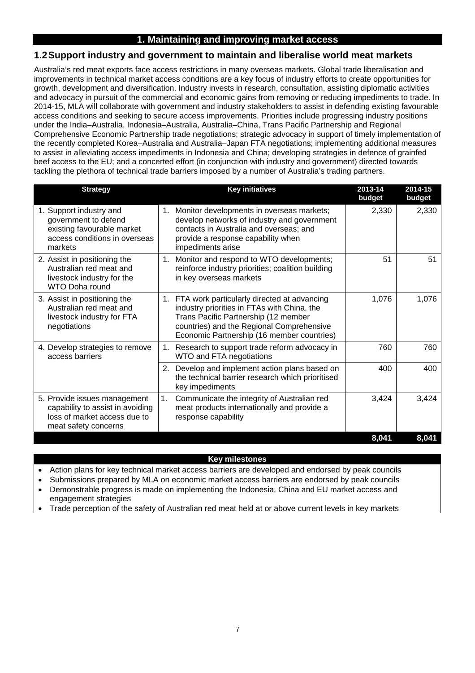# **1. Maintaining and improving market access**

#### **1.2 Support industry and government to maintain and liberalise world meat markets**

Australia's red meat exports face access restrictions in many overseas markets. Global trade liberalisation and improvements in technical market access conditions are a key focus of industry efforts to create opportunities for growth, development and diversification. Industry invests in research, consultation, assisting diplomatic activities and advocacy in pursuit of the commercial and economic gains from removing or reducing impediments to trade. In 2014-15, MLA will collaborate with government and industry stakeholders to assist in defending existing favourable access conditions and seeking to secure access improvements. Priorities include progressing industry positions under the India–Australia, Indonesia–Australia, Australia–China, Trans Pacific Partnership and Regional Comprehensive Economic Partnership trade negotiations; strategic advocacy in support of timely implementation of the recently completed Korea–Australia and Australia–Japan FTA negotiations; implementing additional measures to assist in alleviating access impediments in Indonesia and China; developing strategies in defence of grainfed beef access to the EU; and a concerted effort (in conjunction with industry and government) directed towards tackling the plethora of technical trade barriers imposed by a number of Australia's trading partners.

| <b>Strategy</b>                                                                                                           | <b>Key initiatives</b>                                                                                                                                                                                                           | 2013-14<br>budget | 2014-15<br>budget |
|---------------------------------------------------------------------------------------------------------------------------|----------------------------------------------------------------------------------------------------------------------------------------------------------------------------------------------------------------------------------|-------------------|-------------------|
| 1. Support industry and<br>government to defend<br>existing favourable market<br>access conditions in overseas<br>markets | 1. Monitor developments in overseas markets;<br>develop networks of industry and government<br>contacts in Australia and overseas; and<br>provide a response capability when<br>impediments arise                                | 2,330             | 2,330             |
| 2. Assist in positioning the<br>Australian red meat and<br>livestock industry for the<br>WTO Doha round                   | Monitor and respond to WTO developments;<br>$1_{\cdot}$<br>reinforce industry priorities; coalition building<br>in key overseas markets                                                                                          | 51                | 51                |
| 3. Assist in positioning the<br>Australian red meat and<br>livestock industry for FTA<br>negotiations                     | 1. FTA work particularly directed at advancing<br>industry priorities in FTAs with China, the<br>Trans Pacific Partnership (12 member<br>countries) and the Regional Comprehensive<br>Economic Partnership (16 member countries) | 1,076             | 1,076             |
| 4. Develop strategies to remove<br>access barriers                                                                        | Research to support trade reform advocacy in<br>1.<br>WTO and FTA negotiations                                                                                                                                                   | 760               | 760               |
|                                                                                                                           | Develop and implement action plans based on<br>2.<br>the technical barrier research which prioritised<br>key impediments                                                                                                         | 400               | 400               |
| 5. Provide issues management<br>capability to assist in avoiding<br>loss of market access due to<br>meat safety concerns  | 1.<br>Communicate the integrity of Australian red<br>meat products internationally and provide a<br>response capability                                                                                                          | 3,424             | 3,424             |
|                                                                                                                           |                                                                                                                                                                                                                                  | 8,041             | 8,041             |

#### **Key milestones**

Action plans for key technical market access barriers are developed and endorsed by peak councils

Submissions prepared by MLA on economic market access barriers are endorsed by peak councils

- Demonstrable progress is made on implementing the Indonesia, China and EU market access and engagement strategies
- Trade perception of the safety of Australian red meat held at or above current levels in key markets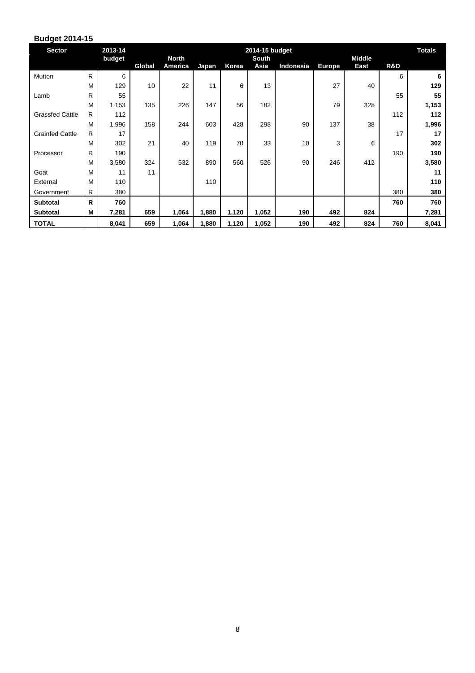| <b>Sector</b>          |              | 2013-14 | 2014-15 budget |                         |       |       |               |           |               | <b>Totals</b>         |     |       |
|------------------------|--------------|---------|----------------|-------------------------|-------|-------|---------------|-----------|---------------|-----------------------|-----|-------|
|                        |              | budget  | Global         | <b>North</b><br>America | Japan | Korea | South<br>Asia | Indonesia | <b>Europe</b> | <b>Middle</b><br>East | R&D |       |
| Mutton                 | R            | 6       |                |                         |       |       |               |           |               |                       | 6   | 6     |
|                        | M            | 129     | 10             | 22                      | 11    | 6     | 13            |           | 27            | 40                    |     | 129   |
| Lamb                   | R            | 55      |                |                         |       |       |               |           |               |                       | 55  | 55    |
|                        | M            | 1,153   | 135            | 226                     | 147   | 56    | 182           |           | 79            | 328                   |     | 1,153 |
| <b>Grassfed Cattle</b> | R.           | 112     |                |                         |       |       |               |           |               |                       | 112 | 112   |
|                        | M            | 1,996   | 158            | 244                     | 603   | 428   | 298           | 90        | 137           | 38                    |     | 1,996 |
| <b>Grainfed Cattle</b> | R.           | 17      |                |                         |       |       |               |           |               |                       | 17  | 17    |
|                        | M            | 302     | 21             | 40                      | 119   | 70    | 33            | 10        | 3             | 6                     |     | 302   |
| Processor              | R            | 190     |                |                         |       |       |               |           |               |                       | 190 | 190   |
|                        | M            | 3,580   | 324            | 532                     | 890   | 560   | 526           | 90        | 246           | 412                   |     | 3,580 |
| Goat                   | M            | 11      | 11             |                         |       |       |               |           |               |                       |     | 11    |
| External               | M            | 110     |                |                         | 110   |       |               |           |               |                       |     | 110   |
| Government             | R.           | 380     |                |                         |       |       |               |           |               |                       | 380 | 380   |
| <b>Subtotal</b>        | $\mathsf{R}$ | 760     |                |                         |       |       |               |           |               |                       | 760 | 760   |
| <b>Subtotal</b>        | м            | 7,281   | 659            | 1,064                   | 1,880 | 1,120 | 1,052         | 190       | 492           | 824                   |     | 7,281 |
| <b>TOTAL</b>           |              | 8,041   | 659            | 1,064                   | 1,880 | 1,120 | 1,052         | 190       | 492           | 824                   | 760 | 8,041 |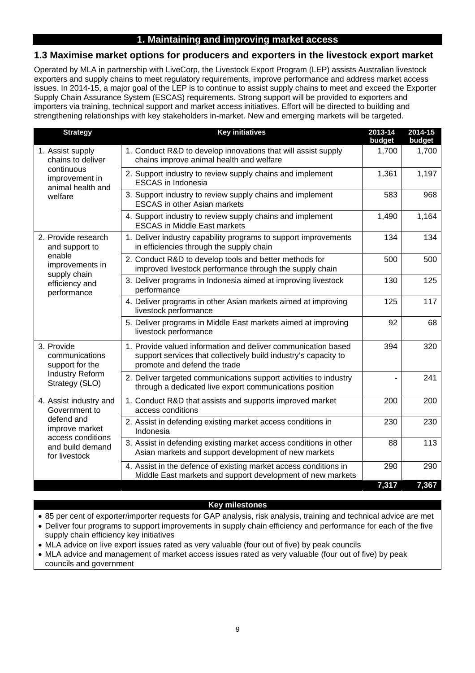# **1. Maintaining and improving market access**

## **1.3 Maximise market options for producers and exporters in the livestock export market**

Operated by MLA in partnership with LiveCorp, the Livestock Export Program (LEP) assists Australian livestock exporters and supply chains to meet regulatory requirements, improve performance and address market access issues. In 2014-15, a major goal of the LEP is to continue to assist supply chains to meet and exceed the Exporter Supply Chain Assurance System (ESCAS) requirements. Strong support will be provided to exporters and importers via training, technical support and market access initiatives. Effort will be directed to building and strengthening relationships with key stakeholders in-market. New and emerging markets will be targeted.

| <b>Strategy</b>                                   | <b>Key initiatives</b>                                                                                                                                           | 2013-14<br>budget | 2014-15<br>budget |
|---------------------------------------------------|------------------------------------------------------------------------------------------------------------------------------------------------------------------|-------------------|-------------------|
| 1. Assist supply<br>chains to deliver             | 1. Conduct R&D to develop innovations that will assist supply<br>chains improve animal health and welfare                                                        | 1,700             | 1,700             |
| continuous<br>improvement in<br>animal health and | 2. Support industry to review supply chains and implement<br><b>ESCAS</b> in Indonesia                                                                           | 1,361             | 1,197             |
| welfare                                           | 3. Support industry to review supply chains and implement<br><b>ESCAS</b> in other Asian markets                                                                 | 583               | 968               |
|                                                   | 4. Support industry to review supply chains and implement<br><b>ESCAS in Middle East markets</b>                                                                 | 1,490             | 1,164             |
| 2. Provide research<br>and support to             | 1. Deliver industry capability programs to support improvements<br>in efficiencies through the supply chain                                                      | 134               | 134               |
| enable<br>improvements in<br>supply chain         | 2. Conduct R&D to develop tools and better methods for<br>improved livestock performance through the supply chain                                                | 500               | 500               |
| efficiency and<br>performance                     | 3. Deliver programs in Indonesia aimed at improving livestock<br>performance                                                                                     | 130               | 125               |
|                                                   | 4. Deliver programs in other Asian markets aimed at improving<br>livestock performance                                                                           | 125               | 117               |
|                                                   | 5. Deliver programs in Middle East markets aimed at improving<br>livestock performance                                                                           | 92                | 68                |
| 3. Provide<br>communications<br>support for the   | 1. Provide valued information and deliver communication based<br>support services that collectively build industry's capacity to<br>promote and defend the trade | 394               | 320               |
| <b>Industry Reform</b><br>Strategy (SLO)          | 2. Deliver targeted communications support activities to industry<br>through a dedicated live export communications position                                     |                   | 241               |
| 4. Assist industry and<br>Government to           | 1. Conduct R&D that assists and supports improved market<br>access conditions                                                                                    | 200               | 200               |
| defend and<br>improve market<br>access conditions | 2. Assist in defending existing market access conditions in<br>Indonesia                                                                                         | 230               | 230               |
| and build demand<br>for livestock                 | 3. Assist in defending existing market access conditions in other<br>Asian markets and support development of new markets                                        | 88                | 113               |
|                                                   | 4. Assist in the defence of existing market access conditions in<br>Middle East markets and support development of new markets                                   | 290               | 290               |
|                                                   |                                                                                                                                                                  | 7,317             | 7,367             |

#### **Key milestones**

85 per cent of exporter/importer requests for GAP analysis, risk analysis, training and technical advice are met

- Deliver four programs to support improvements in supply chain efficiency and performance for each of the five supply chain efficiency key initiatives
- MLA advice on live export issues rated as very valuable (four out of five) by peak councils
- MLA advice and management of market access issues rated as very valuable (four out of five) by peak councils and government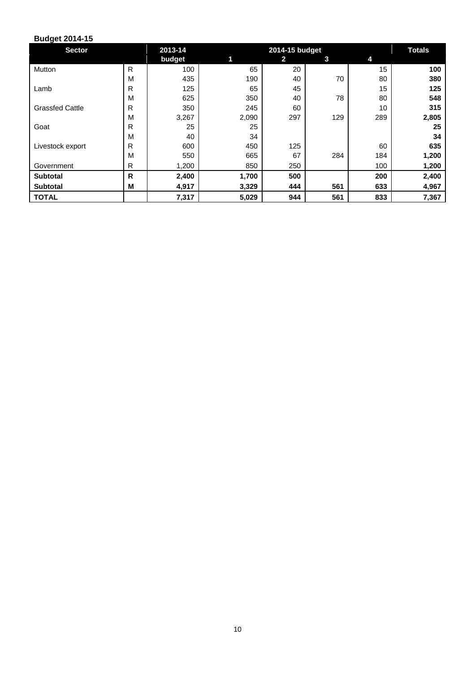| <b>Sector</b>          |   | 2013-14 |       | 2014-15 budget |     |     | <b>Totals</b> |
|------------------------|---|---------|-------|----------------|-----|-----|---------------|
|                        |   | budget  | 1     | $\mathbf{2}$   | 3   | 4   |               |
| Mutton                 | R | 100     | 65    | 20             |     | 15  | 100           |
|                        | M | 435     | 190   | 40             | 70  | 80  | 380           |
| Lamb                   | R | 125     | 65    | 45             |     | 15  | 125           |
|                        | M | 625     | 350   | 40             | 78  | 80  | 548           |
| <b>Grassfed Cattle</b> | R | 350     | 245   | 60             |     | 10  | 315           |
|                        | M | 3,267   | 2,090 | 297            | 129 | 289 | 2,805         |
| Goat                   | R | 25      | 25    |                |     |     | 25            |
|                        | M | 40      | 34    |                |     |     | 34            |
| Livestock export       | R | 600     | 450   | 125            |     | 60  | 635           |
|                        | M | 550     | 665   | 67             | 284 | 184 | 1,200         |
| Government             | R | 1,200   | 850   | 250            |     | 100 | 1,200         |
| <b>Subtotal</b>        | R | 2,400   | 1,700 | 500            |     | 200 | 2,400         |
| <b>Subtotal</b>        | M | 4,917   | 3,329 | 444            | 561 | 633 | 4,967         |
| <b>TOTAL</b>           |   | 7,317   | 5,029 | 944            | 561 | 833 | 7,367         |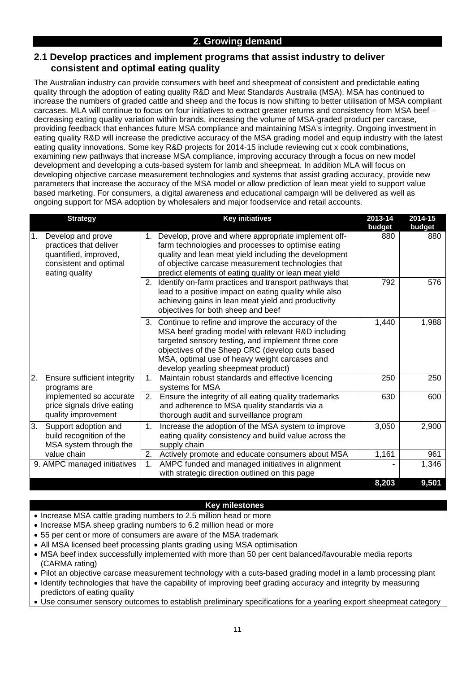## **2.1 Develop practices and implement programs that assist industry to deliver consistent and optimal eating quality**

The Australian industry can provide consumers with beef and sheepmeat of consistent and predictable eating quality through the adoption of eating quality R&D and Meat Standards Australia (MSA). MSA has continued to increase the numbers of graded cattle and sheep and the focus is now shifting to better utilisation of MSA compliant carcases. MLA will continue to focus on four initiatives to extract greater returns and consistency from MSA beef – decreasing eating quality variation within brands, increasing the volume of MSA-graded product per carcase. providing feedback that enhances future MSA compliance and maintaining MSA's integrity. Ongoing investment in eating quality R&D will increase the predictive accuracy of the MSA grading model and equip industry with the latest eating quality innovations. Some key R&D projects for 2014-15 include reviewing cut x cook combinations, examining new pathways that increase MSA compliance, improving accuracy through a focus on new model development and developing a cuts-based system for lamb and sheepmeat. In addition MLA will focus on developing objective carcase measurement technologies and systems that assist grading accuracy, provide new parameters that increase the accuracy of the MSA model or allow prediction of lean meat yield to support value based marketing. For consumers, a digital awareness and educational campaign will be delivered as well as ongoing support for MSA adoption by wholesalers and major foodservice and retail accounts.

| <b>Strategy</b>                                                                                                        | <b>Key initiatives</b>                                                                                                                                                                                                                                                                                       | 2013-14<br>budget | 2014-15<br>budget |
|------------------------------------------------------------------------------------------------------------------------|--------------------------------------------------------------------------------------------------------------------------------------------------------------------------------------------------------------------------------------------------------------------------------------------------------------|-------------------|-------------------|
| Develop and prove<br>1.<br>practices that deliver<br>quantified, improved,<br>consistent and optimal<br>eating quality | Develop, prove and where appropriate implement off-<br>1.<br>farm technologies and processes to optimise eating<br>quality and lean meat yield including the development<br>of objective carcase measurement technologies that<br>predict elements of eating quality or lean meat yield                      | 880               | 880               |
|                                                                                                                        | Identify on-farm practices and transport pathways that<br>2.<br>lead to a positive impact on eating quality while also<br>achieving gains in lean meat yield and productivity<br>objectives for both sheep and beef                                                                                          | 792               | 576               |
|                                                                                                                        | 3. Continue to refine and improve the accuracy of the<br>MSA beef grading model with relevant R&D including<br>targeted sensory testing, and implement three core<br>objectives of the Sheep CRC (develop cuts based<br>MSA, optimal use of heavy weight carcases and<br>develop yearling sheepmeat product) | 1,440             | 1,988             |
| 2.<br>Ensure sufficient integrity<br>programs are                                                                      | Maintain robust standards and effective licencing<br>$\mathbf 1$ .<br>systems for MSA                                                                                                                                                                                                                        | 250               | 250               |
| implemented so accurate<br>price signals drive eating<br>quality improvement                                           | Ensure the integrity of all eating quality trademarks<br>2.<br>and adherence to MSA quality standards via a<br>thorough audit and surveillance program                                                                                                                                                       | 630               | 600               |
| 3.<br>Support adoption and<br>build recognition of the<br>MSA system through the                                       | Increase the adoption of the MSA system to improve<br>1.<br>eating quality consistency and build value across the<br>supply chain                                                                                                                                                                            | 3,050             | 2,900             |
| value chain                                                                                                            | 2.<br>Actively promote and educate consumers about MSA                                                                                                                                                                                                                                                       | 1,161             | 961               |
| 9. AMPC managed initiatives                                                                                            | AMPC funded and managed initiatives in alignment<br>1.<br>with strategic direction outlined on this page                                                                                                                                                                                                     |                   | 1,346             |
|                                                                                                                        |                                                                                                                                                                                                                                                                                                              | 8,203             | 9,501             |

#### **Key milestones**

- Increase MSA cattle grading numbers to 2.5 million head or more
- Increase MSA sheep grading numbers to 6.2 million head or more
- 55 per cent or more of consumers are aware of the MSA trademark
- All MSA licensed beef processing plants grading using MSA optimisation
- MSA beef index successfully implemented with more than 50 per cent balanced/favourable media reports (CARMA rating)
- Pilot an objective carcase measurement technology with a cuts-based grading model in a lamb processing plant
- Identify technologies that have the capability of improving beef grading accuracy and integrity by measuring predictors of eating quality
- Use consumer sensory outcomes to establish preliminary specifications for a yearling export sheepmeat category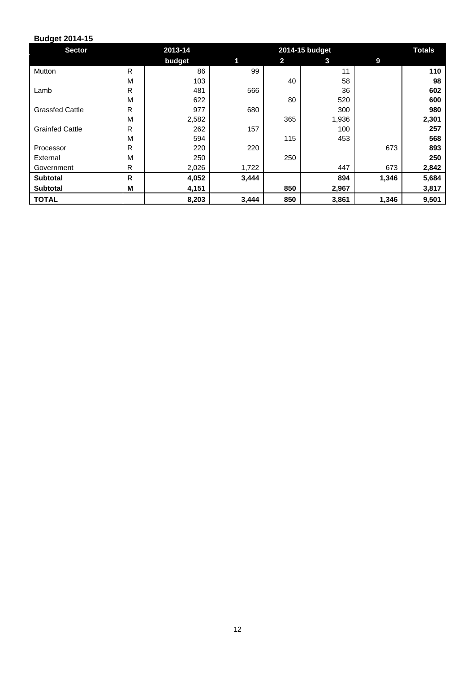| <b>Sector</b>          |   | 2013-14 |       | 2014-15 budget | <b>Totals</b> |       |       |
|------------------------|---|---------|-------|----------------|---------------|-------|-------|
|                        |   | budget  | 1     | $\overline{2}$ | 3             | 9     |       |
| Mutton                 | R | 86      | 99    |                | 11            |       | 110   |
|                        | M | 103     |       | 40             | 58            |       | 98    |
| Lamb                   | R | 481     | 566   |                | 36            |       | 602   |
|                        | M | 622     |       | 80             | 520           |       | 600   |
| <b>Grassfed Cattle</b> | R | 977     | 680   |                | 300           |       | 980   |
|                        | M | 2,582   |       | 365            | 1,936         |       | 2,301 |
| <b>Grainfed Cattle</b> | R | 262     | 157   |                | 100           |       | 257   |
|                        | M | 594     |       | 115            | 453           |       | 568   |
| Processor              | R | 220     | 220   |                |               | 673   | 893   |
| External               | M | 250     |       | 250            |               |       | 250   |
| Government             | R | 2,026   | 1,722 |                | 447           | 673   | 2,842 |
| <b>Subtotal</b>        | R | 4,052   | 3,444 |                | 894           | 1,346 | 5,684 |
| <b>Subtotal</b>        | M | 4,151   |       | 850            | 2,967         |       | 3,817 |
| <b>TOTAL</b>           |   | 8,203   | 3,444 | 850            | 3,861         | 1,346 | 9,501 |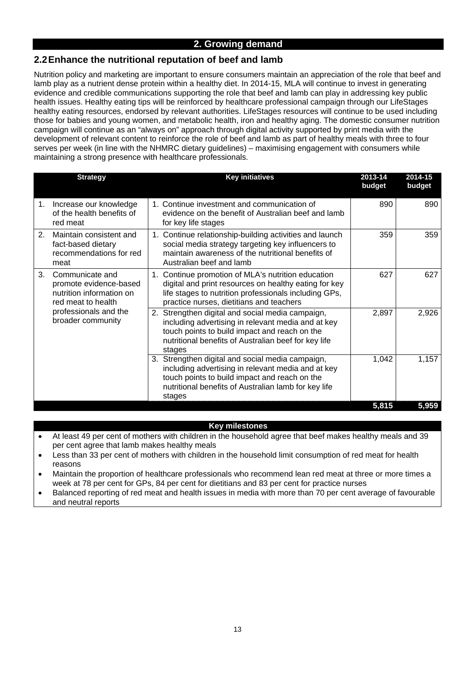# **2.2 Enhance the nutritional reputation of beef and lamb**

Nutrition policy and marketing are important to ensure consumers maintain an appreciation of the role that beef and lamb play as a nutrient dense protein within a healthy diet. In 2014-15, MLA will continue to invest in generating evidence and credible communications supporting the role that beef and lamb can play in addressing key public health issues. Healthy eating tips will be reinforced by healthcare professional campaign through our LifeStages healthy eating resources, endorsed by relevant authorities. LifeStages resources will continue to be used including those for babies and young women, and metabolic health, iron and healthy aging. The domestic consumer nutrition campaign will continue as an "always on" approach through digital activity supported by print media with the development of relevant content to reinforce the role of beef and lamb as part of healthy meals with three to four serves per week (in line with the NHMRC dietary guidelines) – maximising engagement with consumers while maintaining a strong presence with healthcare professionals.

|                | <b>Strategy</b>                                                                             | <b>Key initiatives</b>                                                                                                                                                                                                       | 2013-14<br>budget | 2014-15<br>budget |
|----------------|---------------------------------------------------------------------------------------------|------------------------------------------------------------------------------------------------------------------------------------------------------------------------------------------------------------------------------|-------------------|-------------------|
| 1.             | Increase our knowledge<br>of the health benefits of<br>red meat                             | 1. Continue investment and communication of<br>evidence on the benefit of Australian beef and lamb<br>for key life stages                                                                                                    | 890               | 890               |
| 2 <sub>1</sub> | Maintain consistent and<br>fact-based dietary<br>recommendations for red<br>meat            | 1. Continue relationship-building activities and launch<br>social media strategy targeting key influencers to<br>maintain awareness of the nutritional benefits of<br>Australian beef and lamb                               | 359               | 359               |
| 3.             | Communicate and<br>promote evidence-based<br>nutrition information on<br>red meat to health | Continue promotion of MLA's nutrition education<br>$1_{\cdot}$<br>digital and print resources on healthy eating for key<br>life stages to nutrition professionals including GPs,<br>practice nurses, dietitians and teachers | 627               | 627               |
|                | professionals and the<br>broader community                                                  | 2. Strengthen digital and social media campaign,<br>including advertising in relevant media and at key<br>touch points to build impact and reach on the<br>nutritional benefits of Australian beef for key life<br>stages    | 2,897             | 2,926             |
|                |                                                                                             | 3. Strengthen digital and social media campaign,<br>including advertising in relevant media and at key<br>touch points to build impact and reach on the<br>nutritional benefits of Australian lamb for key life<br>stages    | 1,042             | 1,157             |
|                |                                                                                             |                                                                                                                                                                                                                              | 5,815             | 5,959             |

#### **Key milestones**

- At least 49 per cent of mothers with children in the household agree that beef makes healthy meals and 39 per cent agree that lamb makes healthy meals
- Less than 33 per cent of mothers with children in the household limit consumption of red meat for health reasons
- Maintain the proportion of healthcare professionals who recommend lean red meat at three or more times a week at 78 per cent for GPs, 84 per cent for dietitians and 83 per cent for practice nurses
- Balanced reporting of red meat and health issues in media with more than 70 per cent average of favourable and neutral reports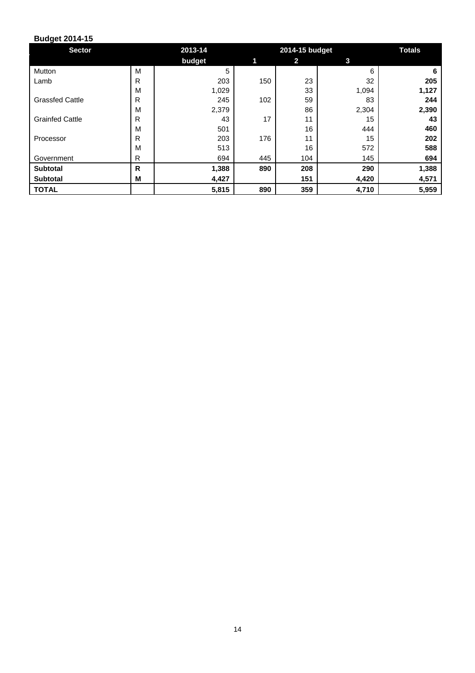| <b>Sector</b>          |              | 2013-14 |     | 2014-15 budget |       | <b>Totals</b> |
|------------------------|--------------|---------|-----|----------------|-------|---------------|
|                        |              | budget  |     | $\mathbf{2}$   | 3     |               |
| Mutton                 | M            | 5       |     |                | 6     | 6             |
| Lamb                   | $\mathsf{R}$ | 203     | 150 | 23             | 32    | 205           |
|                        | M            | 1,029   |     | 33             | 1,094 | 1,127         |
| <b>Grassfed Cattle</b> | R            | 245     | 102 | 59             | 83    | 244           |
|                        | M            | 2,379   |     | 86             | 2,304 | 2,390         |
| <b>Grainfed Cattle</b> | $\mathsf{R}$ | 43      | 17  | 11             | 15    | 43            |
|                        | M            | 501     |     | 16             | 444   | 460           |
| Processor              | R            | 203     | 176 | 11             | 15    | 202           |
|                        | M            | 513     |     | 16             | 572   | 588           |
| Government             | R            | 694     | 445 | 104            | 145   | 694           |
| <b>Subtotal</b>        | $\mathsf{R}$ | 1,388   | 890 | 208            | 290   | 1,388         |
| <b>Subtotal</b>        | M            | 4,427   |     | 151            | 4,420 | 4,571         |
| <b>TOTAL</b>           |              | 5,815   | 890 | 359            | 4,710 | 5,959         |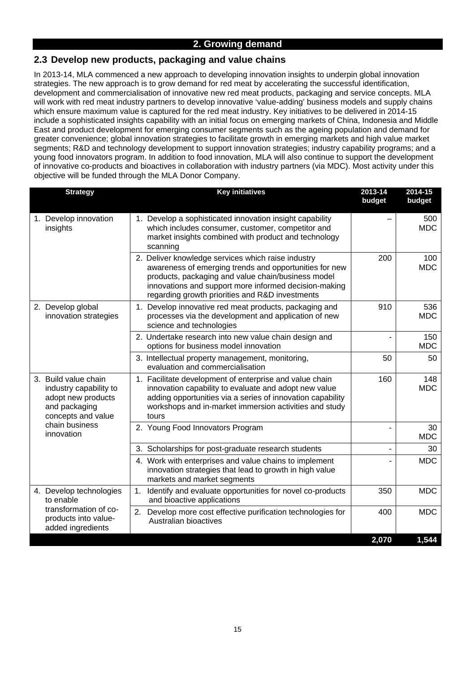# **2.3 Develop new products, packaging and value chains**

In 2013-14, MLA commenced a new approach to developing innovation insights to underpin global innovation strategies. The new approach is to grow demand for red meat by accelerating the successful identification, development and commercialisation of innovative new red meat products, packaging and service concepts. MLA will work with red meat industry partners to develop innovative 'value-adding' business models and supply chains which ensure maximum value is captured for the red meat industry. Key initiatives to be delivered in 2014-15 include a sophisticated insights capability with an initial focus on emerging markets of China, Indonesia and Middle East and product development for emerging consumer segments such as the ageing population and demand for greater convenience; global innovation strategies to facilitate growth in emerging markets and high value market segments; R&D and technology development to support innovation strategies; industry capability programs; and a young food innovators program. In addition to food innovation, MLA will also continue to support the development of innovative co-products and bioactives in collaboration with industry partners (via MDC). Most activity under this objective will be funded through the MLA Donor Company.

| <b>Strategy</b>                                                                                             | <b>Key initiatives</b>                                                                                                                                                                                                                                                         | 2013-14<br>budget | 2014-15<br>budget |
|-------------------------------------------------------------------------------------------------------------|--------------------------------------------------------------------------------------------------------------------------------------------------------------------------------------------------------------------------------------------------------------------------------|-------------------|-------------------|
| 1. Develop innovation<br>insights                                                                           | 1. Develop a sophisticated innovation insight capability<br>which includes consumer, customer, competitor and<br>market insights combined with product and technology<br>scanning                                                                                              |                   | 500<br><b>MDC</b> |
|                                                                                                             | 2. Deliver knowledge services which raise industry<br>awareness of emerging trends and opportunities for new<br>products, packaging and value chain/business model<br>innovations and support more informed decision-making<br>regarding growth priorities and R&D investments | 200               | 100<br><b>MDC</b> |
| 2. Develop global<br>innovation strategies                                                                  | 1. Develop innovative red meat products, packaging and<br>processes via the development and application of new<br>science and technologies                                                                                                                                     | 910               | 536<br><b>MDC</b> |
|                                                                                                             | 2. Undertake research into new value chain design and<br>options for business model innovation                                                                                                                                                                                 |                   | 150<br><b>MDC</b> |
|                                                                                                             | 3. Intellectual property management, monitoring,<br>evaluation and commercialisation                                                                                                                                                                                           | 50                | 50                |
| 3. Build value chain<br>industry capability to<br>adopt new products<br>and packaging<br>concepts and value | 1. Facilitate development of enterprise and value chain<br>innovation capability to evaluate and adopt new value<br>adding opportunities via a series of innovation capability<br>workshops and in-market immersion activities and study<br>tours                              | 160               | 148<br><b>MDC</b> |
| chain business<br>innovation                                                                                | 2. Young Food Innovators Program                                                                                                                                                                                                                                               | ä,                | 30<br><b>MDC</b>  |
|                                                                                                             | 3. Scholarships for post-graduate research students                                                                                                                                                                                                                            |                   | 30                |
|                                                                                                             | 4. Work with enterprises and value chains to implement<br>innovation strategies that lead to growth in high value<br>markets and market segments                                                                                                                               |                   | <b>MDC</b>        |
| 4. Develop technologies<br>to enable                                                                        | 1. Identify and evaluate opportunities for novel co-products<br>and bioactive applications                                                                                                                                                                                     | 350               | <b>MDC</b>        |
| transformation of co-<br>products into value-<br>added ingredients                                          | 2. Develop more cost effective purification technologies for<br>Australian bioactives                                                                                                                                                                                          | 400               | <b>MDC</b>        |
|                                                                                                             |                                                                                                                                                                                                                                                                                | 2,070             | 1,544             |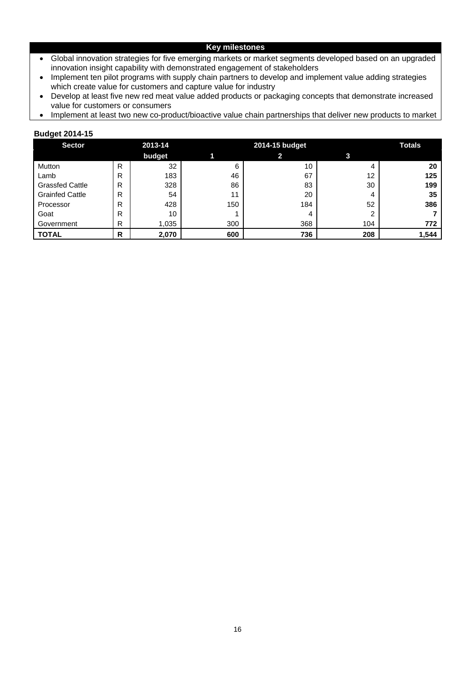#### **Key milestones**

- Global innovation strategies for five emerging markets or market segments developed based on an upgraded innovation insight capability with demonstrated engagement of stakeholders
- Implement ten pilot programs with supply chain partners to develop and implement value adding strategies which create value for customers and capture value for industry
- Develop at least five new red meat value added products or packaging concepts that demonstrate increased value for customers or consumers
- Implement at least two new co-product/bioactive value chain partnerships that deliver new products to market

| <b>Sector</b>          |   | 2013-14 |     | 2014-15 budget |                   |       |  |  |
|------------------------|---|---------|-----|----------------|-------------------|-------|--|--|
|                        |   | budget  |     | 2              |                   |       |  |  |
| Mutton                 | R | 32      | 6   | 10             | 4                 | 20    |  |  |
| Lamb                   | R | 183     | 46  | 67             | $12 \overline{ }$ | 125   |  |  |
| <b>Grassfed Cattle</b> | R | 328     | 86  | 83             | 30                | 199   |  |  |
| <b>Grainfed Cattle</b> | R | 54      | 11  | 20             | 4                 | 35    |  |  |
| Processor              | R | 428     | 150 | 184            | 52                | 386   |  |  |
| Goat                   | R | 10      |     | 4              | 2                 |       |  |  |
| Government             | R | 1,035   | 300 | 368            | 104               | 772   |  |  |
| <b>TOTAL</b>           | R | 2,070   | 600 | 736            | 208               | 1,544 |  |  |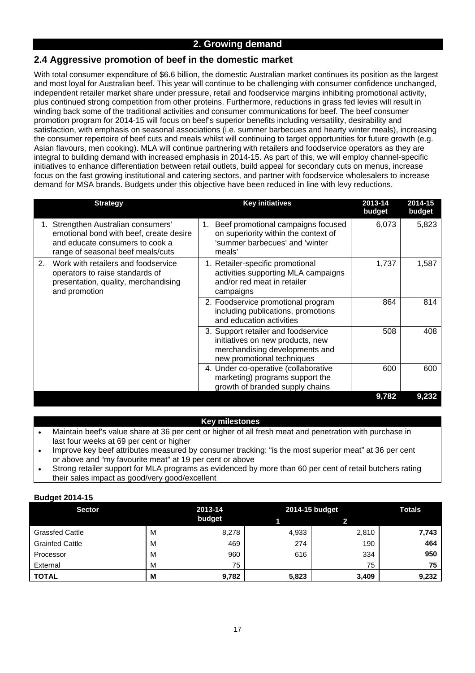# **2.4 Aggressive promotion of beef in the domestic market**

With total consumer expenditure of \$6.6 billion, the domestic Australian market continues its position as the largest and most loyal for Australian beef. This year will continue to be challenging with consumer confidence unchanged, independent retailer market share under pressure, retail and foodservice margins inhibiting promotional activity, plus continued strong competition from other proteins. Furthermore, reductions in grass fed levies will result in winding back some of the traditional activities and consumer communications for beef. The beef consumer promotion program for 2014-15 will focus on beef's superior benefits including versatility, desirability and satisfaction, with emphasis on seasonal associations (i.e. summer barbecues and hearty winter meals), increasing the consumer repertoire of beef cuts and meals whilst will continuing to target opportunities for future growth (e.g. Asian flavours, men cooking). MLA will continue partnering with retailers and foodservice operators as they are integral to building demand with increased emphasis in 2014-15. As part of this, we will employ channel-specific initiatives to enhance differentiation between retail outlets, build appeal for secondary cuts on menus, increase focus on the fast growing institutional and catering sectors, and partner with foodservice wholesalers to increase demand for MSA brands. Budgets under this objective have been reduced in line with levy reductions.

| <b>Strategy</b>                                                                                                                                        | <b>Key initiatives</b>                                                                                                                  | 2013-14<br>budget | 2014-15<br>budget |
|--------------------------------------------------------------------------------------------------------------------------------------------------------|-----------------------------------------------------------------------------------------------------------------------------------------|-------------------|-------------------|
| 1. Strengthen Australian consumers'<br>emotional bond with beef, create desire<br>and educate consumers to cook a<br>range of seasonal beef meals/cuts | Beef promotional campaigns focused<br>on superiority within the context of<br>'summer barbecues' and 'winter<br>meals'                  | 6,073             | 5,823             |
| Work with retailers and foodservice<br>2.<br>operators to raise standards of<br>presentation, quality, merchandising<br>and promotion                  | 1. Retailer-specific promotional<br>activities supporting MLA campaigns<br>and/or red meat in retailer<br>campaigns                     | 1,737             | 1,587             |
|                                                                                                                                                        | 2. Foodservice promotional program<br>including publications, promotions<br>and education activities                                    | 864               | 814               |
|                                                                                                                                                        | 3. Support retailer and foodservice<br>initiatives on new products, new<br>merchandising developments and<br>new promotional techniques | 508               | 408               |
|                                                                                                                                                        | 4. Under co-operative (collaborative<br>marketing) programs support the<br>growth of branded supply chains                              | 600               | 600               |
|                                                                                                                                                        |                                                                                                                                         | 9,782             | 9,232             |

#### **Key milestones**

- Maintain beef's value share at 36 per cent or higher of all fresh meat and penetration with purchase in last four weeks at 69 per cent or higher
- Improve key beef attributes measured by consumer tracking: "is the most superior meat" at 36 per cent or above and "my favourite meat" at 19 per cent or above
- Strong retailer support for MLA programs as evidenced by more than 60 per cent of retail butchers rating their sales impact as good/very good/excellent

| <b>Sector</b>          |   | 2013-14 |       | 2014-15 budget | <b>Totals</b> |
|------------------------|---|---------|-------|----------------|---------------|
|                        |   | budget  |       |                |               |
| <b>Grassfed Cattle</b> | M | 8,278   | 4,933 | 2,810          | 7,743         |
| <b>Grainfed Cattle</b> | M | 469     | 274   | 190            | 464           |
| Processor              | M | 960     | 616   | 334            | 950           |
| External               | M | 75      |       | 75             | 75            |
| <b>TOTAL</b>           | M | 9,782   | 5,823 | 3,409          | 9,232         |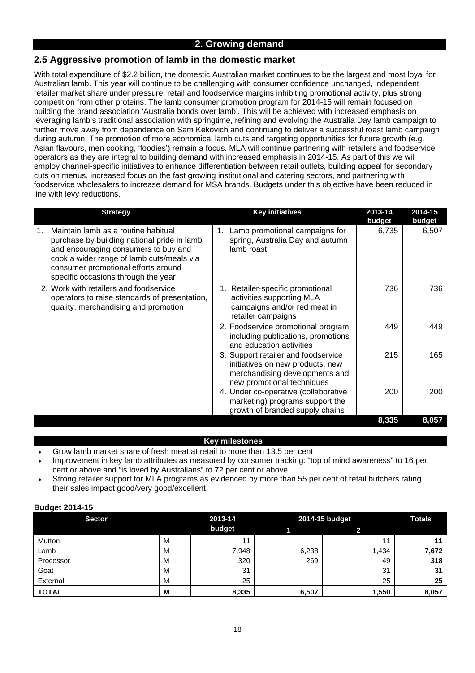# **2.5 Aggressive promotion of lamb in the domestic market**

With total expenditure of \$2.2 billion, the domestic Australian market continues to be the largest and most loyal for Australian lamb. This year will continue to be challenging with consumer confidence unchanged, independent retailer market share under pressure, retail and foodservice margins inhibiting promotional activity, plus strong competition from other proteins. The lamb consumer promotion program for 2014-15 will remain focused on building the brand association 'Australia bonds over lamb'. This will be achieved with increased emphasis on leveraging lamb's traditional association with springtime, refining and evolving the Australia Day lamb campaign to further move away from dependence on Sam Kekovich and continuing to deliver a successful roast lamb campaign during autumn. The promotion of more economical lamb cuts and targeting opportunities for future growth (e.g. Asian flavours, men cooking, 'foodies') remain a focus. MLA will continue partnering with retailers and foodservice operators as they are integral to building demand with increased emphasis in 2014-15. As part of this we will employ channel-specific initiatives to enhance differentiation between retail outlets, building appeal for secondary cuts on menus, increased focus on the fast growing institutional and catering sectors, and partnering with foodservice wholesalers to increase demand for MSA brands. Budgets under this objective have been reduced in line with levy reductions.

| <b>Strategy</b>                                                                                                                                                                                                                                             | <b>Key initiatives</b>                                                                                                                  | 2013-14<br>budget | 2014-15<br>budget |
|-------------------------------------------------------------------------------------------------------------------------------------------------------------------------------------------------------------------------------------------------------------|-----------------------------------------------------------------------------------------------------------------------------------------|-------------------|-------------------|
| Maintain lamb as a routine habitual<br>1.<br>purchase by building national pride in lamb<br>and encouraging consumers to buy and<br>cook a wider range of lamb cuts/meals via<br>consumer promotional efforts around<br>specific occasions through the year | Lamb promotional campaigns for<br>spring, Australia Day and autumn<br>lamb roast                                                        | 6,735             | 6,507             |
| 2. Work with retailers and foodservice<br>operators to raise standards of presentation,<br>quality, merchandising and promotion                                                                                                                             | 1. Retailer-specific promotional<br>activities supporting MLA<br>campaigns and/or red meat in<br>retailer campaigns                     | 736               | 736               |
|                                                                                                                                                                                                                                                             | 2. Foodservice promotional program<br>including publications, promotions<br>and education activities                                    | 449               | 449               |
|                                                                                                                                                                                                                                                             | 3. Support retailer and foodservice<br>initiatives on new products, new<br>merchandising developments and<br>new promotional techniques | 215               | 165               |
|                                                                                                                                                                                                                                                             | 4. Under co-operative (collaborative<br>marketing) programs support the<br>growth of branded supply chains                              | 200               | 200               |
|                                                                                                                                                                                                                                                             |                                                                                                                                         | 8,335             | 8,057             |

#### **Key milestones**

- Grow lamb market share of fresh meat at retail to more than 13.5 per cent
- Improvement in key lamb attributes as measured by consumer tracking: "top of mind awareness" to 16 per cent or above and "is loved by Australians" to 72 per cent or above
- Strong retailer support for MLA programs as evidenced by more than 55 per cent of retail butchers rating their sales impact good/very good/excellent

| <b>Sector</b> |   | 2013-14 |       | 2014-15 budget | <b>Totals</b> |
|---------------|---|---------|-------|----------------|---------------|
|               |   | budget  |       |                |               |
| Mutton        | M |         |       | 11             | 11            |
| Lamb          | м | 7,948   | 6,238 | 1,434          | 7,672         |
| Processor     | M | 320     | 269   | 49             | 318           |
| Goat          | м | 31      |       | 31             | 31            |
| External      | M | 25      |       | 25             | 25            |
| <b>TOTAL</b>  | M | 8,335   | 6,507 | 1,550          | 8,057         |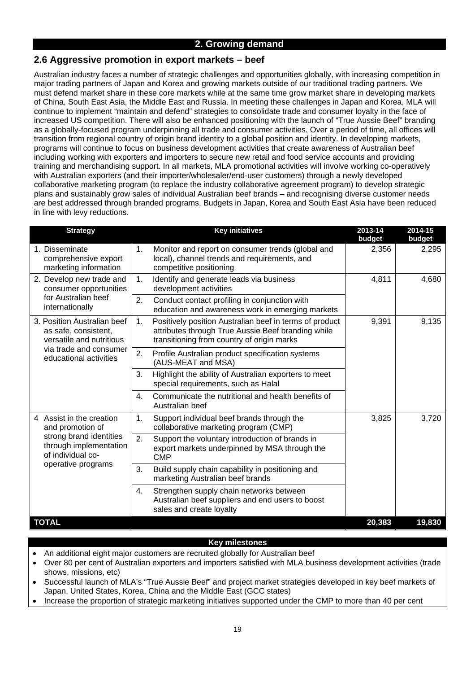# **2.6 Aggressive promotion in export markets – beef**

Australian industry faces a number of strategic challenges and opportunities globally, with increasing competition in major trading partners of Japan and Korea and growing markets outside of our traditional trading partners. We must defend market share in these core markets while at the same time grow market share in developing markets of China, South East Asia, the Middle East and Russia. In meeting these challenges in Japan and Korea, MLA will continue to implement "maintain and defend" strategies to consolidate trade and consumer loyalty in the face of increased US competition. There will also be enhanced positioning with the launch of "True Aussie Beef" branding as a globally-focused program underpinning all trade and consumer activities. Over a period of time, all offices will transition from regional country of origin brand identity to a global position and identity. In developing markets, programs will continue to focus on business development activities that create awareness of Australian beef including working with exporters and importers to secure new retail and food service accounts and providing training and merchandising support. In all markets, MLA promotional activities will involve working co-operatively with Australian exporters (and their importer/wholesaler/end-user customers) through a newly developed collaborative marketing program (to replace the industry collaborative agreement program) to develop strategic plans and sustainably grow sales of individual Australian beef brands – and recognising diverse customer needs are best addressed through branded programs. Budgets in Japan, Korea and South East Asia have been reduced in line with levy reductions.

| <b>Strategy</b>                                                                 | <b>Key initiatives</b>                                                                                                                                            | 2013-14<br>budget | 2014-15<br>budget |
|---------------------------------------------------------------------------------|-------------------------------------------------------------------------------------------------------------------------------------------------------------------|-------------------|-------------------|
| 1. Disseminate<br>comprehensive export<br>marketing information                 | 1.<br>Monitor and report on consumer trends (global and<br>local), channel trends and requirements, and<br>competitive positioning                                | 2,356             | 2,295             |
| 2. Develop new trade and<br>consumer opportunities                              | 1.<br>Identify and generate leads via business<br>development activities                                                                                          | 4,811             | 4,680             |
| for Australian beef<br>internationally                                          | 2.<br>Conduct contact profiling in conjunction with<br>education and awareness work in emerging markets                                                           |                   |                   |
| 3. Position Australian beef<br>as safe, consistent,<br>versatile and nutritious | Positively position Australian beef in terms of product<br>1.<br>attributes through True Aussie Beef branding while<br>transitioning from country of origin marks | 9,391             | 9,135             |
| via trade and consumer<br>educational activities                                | 2.<br>Profile Australian product specification systems<br>(AUS-MEAT and MSA)                                                                                      |                   |                   |
|                                                                                 | 3.<br>Highlight the ability of Australian exporters to meet<br>special requirements, such as Halal                                                                |                   |                   |
|                                                                                 | Communicate the nutritional and health benefits of<br>4.<br>Australian beef                                                                                       |                   |                   |
| 4 Assist in the creation<br>and promotion of                                    | Support individual beef brands through the<br>1.<br>collaborative marketing program (CMP)                                                                         | 3,825             | 3,720             |
| strong brand identities<br>through implementation<br>of individual co-          | 2.<br>Support the voluntary introduction of brands in<br>export markets underpinned by MSA through the<br><b>CMP</b>                                              |                   |                   |
| operative programs                                                              | 3.<br>Build supply chain capability in positioning and<br>marketing Australian beef brands                                                                        |                   |                   |
|                                                                                 | Strengthen supply chain networks between<br>4.<br>Australian beef suppliers and end users to boost<br>sales and create loyalty                                    |                   |                   |
| <b>TOTAL</b>                                                                    |                                                                                                                                                                   | 20,383            | 19,830            |

#### **Key milestones**

- An additional eight major customers are recruited globally for Australian beef
- Over 80 per cent of Australian exporters and importers satisfied with MLA business development activities (trade shows, missions, etc)
- Successful launch of MLA's "True Aussie Beef" and project market strategies developed in key beef markets of Japan, United States, Korea, China and the Middle East (GCC states)
- Increase the proportion of strategic marketing initiatives supported under the CMP to more than 40 per cent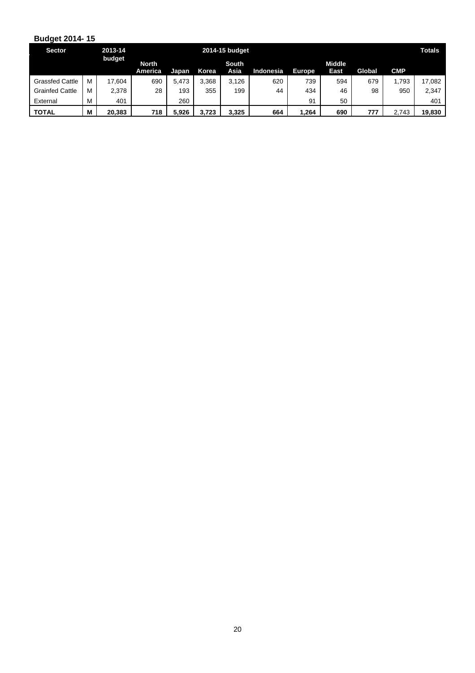| <b>Sector</b>          |        | 2013-14 |                         |       |       | 2014-15 budget |           |        |                       |        |            | <b>Totals</b> |
|------------------------|--------|---------|-------------------------|-------|-------|----------------|-----------|--------|-----------------------|--------|------------|---------------|
|                        | budget |         | <b>North</b><br>America | Japan | Korea | South<br>Asia  | Indonesia | Europe | <b>Middle</b><br>East | Global | <b>CMP</b> |               |
| <b>Grassfed Cattle</b> | м      | 17.604  | 690                     | 5.473 | 3.368 | 3.126          | 620       | 739    | 594                   | 679    | 1,793      | 17.082        |
| <b>Grainfed Cattle</b> | М      | 2,378   | 28                      | 193   | 355   | 199            | 44        | 434    | 46                    | 98     | 950        | 2,347         |
| External               | М      | 401     |                         | 260   |       |                |           | 91     | 50                    |        |            | 401           |
| <b>TOTAL</b>           | M      | 20.383  | 718                     | 5.926 | 3.723 | 3.325          | 664       | 1.264  | 690                   | 777    | 2.743      | 19,830        |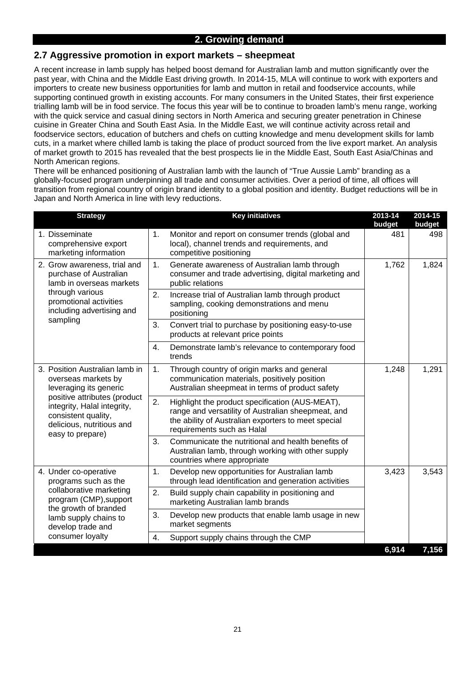#### **2.7 Aggressive promotion in export markets – sheepmeat**

A recent increase in lamb supply has helped boost demand for Australian lamb and mutton significantly over the past year, with China and the Middle East driving growth. In 2014-15, MLA will continue to work with exporters and importers to create new business opportunities for lamb and mutton in retail and foodservice accounts, while supporting continued growth in existing accounts. For many consumers in the United States, their first experience trialling lamb will be in food service. The focus this year will be to continue to broaden lamb's menu range, working with the quick service and casual dining sectors in North America and securing greater penetration in Chinese cuisine in Greater China and South East Asia. In the Middle East, we will continue activity across retail and foodservice sectors, education of butchers and chefs on cutting knowledge and menu development skills for lamb cuts, in a market where chilled lamb is taking the place of product sourced from the live export market. An analysis of market growth to 2015 has revealed that the best prospects lie in the Middle East, South East Asia/Chinas and North American regions.

There will be enhanced positioning of Australian lamb with the launch of "True Aussie Lamb" branding as a globally-focused program underpinning all trade and consumer activities. Over a period of time, all offices will transition from regional country of origin brand identity to a global position and identity. Budget reductions will be in Japan and North America in line with levy reductions.

|  | <b>Strategy</b>                                                                                                                     |     | <b>Key initiatives</b>                                                                                                                                                                     | 2013-14<br>budget | 2014-15<br>budget |
|--|-------------------------------------------------------------------------------------------------------------------------------------|-----|--------------------------------------------------------------------------------------------------------------------------------------------------------------------------------------------|-------------------|-------------------|
|  | 1. Disseminate<br>comprehensive export<br>marketing information                                                                     | 481 | 498                                                                                                                                                                                        |                   |                   |
|  | 2. Grow awareness, trial and<br>purchase of Australian<br>lamb in overseas markets                                                  | 1.  | Generate awareness of Australian lamb through<br>consumer and trade advertising, digital marketing and<br>public relations                                                                 | 1,762             | 1,824             |
|  | through various<br>promotional activities<br>including advertising and                                                              |     | 2.<br>Increase trial of Australian lamb through product<br>sampling, cooking demonstrations and menu<br>positioning                                                                        |                   |                   |
|  | sampling                                                                                                                            | 3.  | Convert trial to purchase by positioning easy-to-use<br>products at relevant price points                                                                                                  |                   |                   |
|  |                                                                                                                                     | 4.  | Demonstrate lamb's relevance to contemporary food<br>trends                                                                                                                                |                   |                   |
|  | 3. Position Australian lamb in<br>overseas markets by<br>leveraging its generic                                                     |     | Through country of origin marks and general<br>1.<br>communication materials, positively position<br>Australian sheepmeat in terms of product safety                                       |                   | 1,291             |
|  | positive attributes (product<br>integrity, Halal integrity,<br>consistent quality,<br>delicious, nutritious and<br>easy to prepare) | 2.  | Highlight the product specification (AUS-MEAT),<br>range and versatility of Australian sheepmeat, and<br>the ability of Australian exporters to meet special<br>requirements such as Halal |                   |                   |
|  |                                                                                                                                     | 3.  | Communicate the nutritional and health benefits of<br>Australian lamb, through working with other supply<br>countries where appropriate                                                    |                   |                   |
|  | 4. Under co-operative<br>programs such as the                                                                                       | 1.  | Develop new opportunities for Australian lamb<br>through lead identification and generation activities                                                                                     | 3,423             | 3,543             |
|  | collaborative marketing<br>program (CMP), support<br>the growth of branded<br>lamb supply chains to<br>develop trade and            |     | Build supply chain capability in positioning and<br>marketing Australian lamb brands                                                                                                       |                   |                   |
|  |                                                                                                                                     |     | Develop new products that enable lamb usage in new<br>market segments                                                                                                                      |                   |                   |
|  | consumer loyalty                                                                                                                    | 4.  | Support supply chains through the CMP                                                                                                                                                      |                   |                   |
|  |                                                                                                                                     |     |                                                                                                                                                                                            | 6,914             | 7,156             |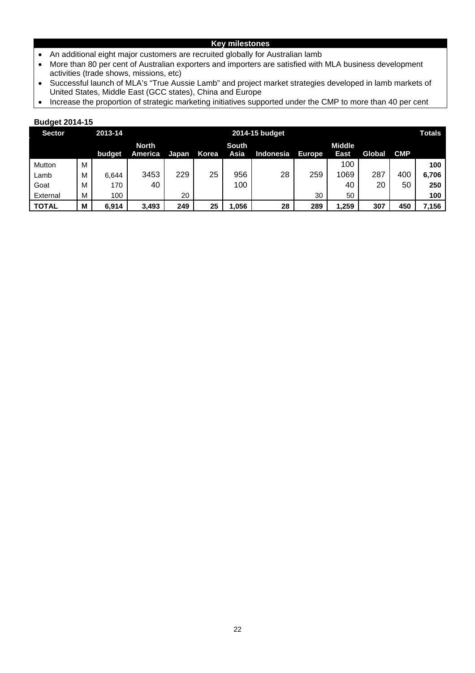#### **Key milestones**

- An additional eight major customers are recruited globally for Australian lamb
- More than 80 per cent of Australian exporters and importers are satisfied with MLA business development activities (trade shows, missions, etc)
- Successful launch of MLA's "True Aussie Lamb" and project market strategies developed in lamb markets of United States, Middle East (GCC states), China and Europe
- Increase the proportion of strategic marketing initiatives supported under the CMP to more than 40 per cent

| <b>Sector</b> | 2013-14 |        |              |       |       | 2014-15 budget |           |               |               |        |            | <b>Totals</b> |
|---------------|---------|--------|--------------|-------|-------|----------------|-----------|---------------|---------------|--------|------------|---------------|
|               |         |        | <b>North</b> |       |       | <b>South</b>   |           |               | <b>Middle</b> |        |            |               |
|               |         | budget | America      | Japan | Korea | Asia           | Indonesia | <b>Europe</b> | East          | Global | <b>CMP</b> |               |
| Mutton        | м       |        |              |       |       |                |           |               | 100           |        |            | 100           |
| Lamb          | м       | 6,644  | 3453         | 229   | 25    | 956            | 28        | 259           | 1069          | 287    | 400        | 6,706         |
| Goat          | м       | 170    | 40           |       |       | 100            |           |               | 40            | 20     | 50         | 250           |
| External      | M       | 100    |              | 20    |       |                |           | 30            | 50            |        |            | 100           |
| <b>TOTAL</b>  | M       | 6,914  | 3,493        | 249   | 25    | 1,056          | 28        | 289           | 1,259         | 307    | 450        | 7,156         |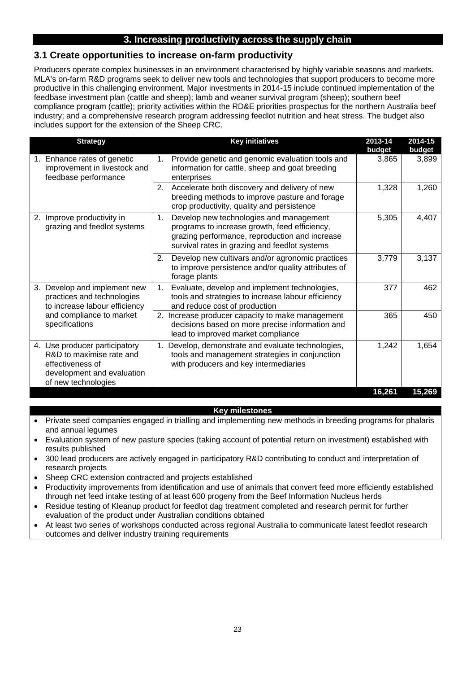# **3. Increasing productivity across the supply chain**

## **3.1 Create opportunities to increase on-farm productivity**

Producers operate complex businesses in an environment characterised by highly variable seasons and markets. MLA's on-farm R&D programs seek to deliver new tools and technologies that support producers to become more productive in this challenging environment. Major investments in 2014-15 include continued implementation of the feedbase investment plan (cattle and sheep); lamb and weaner survival program (sheep); southern beef compliance program (cattle); priority activities within the RD&E priorities prospectus for the northern Australia beef industry; and a comprehensive research program addressing feedlot nutrition and heat stress. The budget also includes support for the extension of the Sheep CRC.

| <b>Strategy</b>                                                                                                                    | <b>Key initiatives</b>                                                                                                                                                                            | 2013-14<br>budget | 2014-15<br>budget |
|------------------------------------------------------------------------------------------------------------------------------------|---------------------------------------------------------------------------------------------------------------------------------------------------------------------------------------------------|-------------------|-------------------|
| Enhance rates of genetic<br>1.<br>improvement in livestock and<br>feedbase performance                                             | Provide genetic and genomic evaluation tools and<br>1.<br>information for cattle, sheep and goat breeding<br>enterprises                                                                          | 3,865             | 3,899             |
|                                                                                                                                    | Accelerate both discovery and delivery of new<br>2.<br>breeding methods to improve pasture and forage<br>crop productivity, quality and persistence                                               | 1,328             | 1,260             |
| 2. Improve productivity in<br>grazing and feedlot systems                                                                          | 1.<br>Develop new technologies and management<br>programs to increase growth, feed efficiency,<br>grazing performance, reproduction and increase<br>survival rates in grazing and feedlot systems | 5,305             | 4,407             |
|                                                                                                                                    | Develop new cultivars and/or agronomic practices<br>2.<br>to improve persistence and/or quality attributes of<br>forage plants                                                                    | 3,779             | 3,137             |
| 3. Develop and implement new<br>practices and technologies<br>to increase labour efficiency                                        | Evaluate, develop and implement technologies,<br>1.<br>tools and strategies to increase labour efficiency<br>and reduce cost of production                                                        | 377               | 462               |
| and compliance to market<br>specifications                                                                                         | 2. Increase producer capacity to make management<br>decisions based on more precise information and<br>lead to improved market compliance                                                         | 365               | 450               |
| 4. Use producer participatory<br>R&D to maximise rate and<br>effectiveness of<br>development and evaluation<br>of new technologies | Develop, demonstrate and evaluate technologies,<br>1.<br>tools and management strategies in conjunction<br>with producers and key intermediaries                                                  | 1,242             | 1,654             |
|                                                                                                                                    |                                                                                                                                                                                                   | 16,261            | 15,269            |

#### **Key milestones**

- Private seed companies engaged in trialling and implementing new methods in breeding programs for phalaris and annual legumes
- Evaluation system of new pasture species (taking account of potential return on investment) established with results published
- 300 lead producers are actively engaged in participatory R&D contributing to conduct and interpretation of research projects
- Sheep CRC extension contracted and projects established
- Productivity improvements from identification and use of animals that convert feed more efficiently established through net feed intake testing of at least 600 progeny from the Beef Information Nucleus herds
- Residue testing of Kleanup product for feedlot dag treatment completed and research permit for further evaluation of the product under Australian conditions obtained
- At least two series of workshops conducted across regional Australia to communicate latest feedlot research outcomes and deliver industry training requirements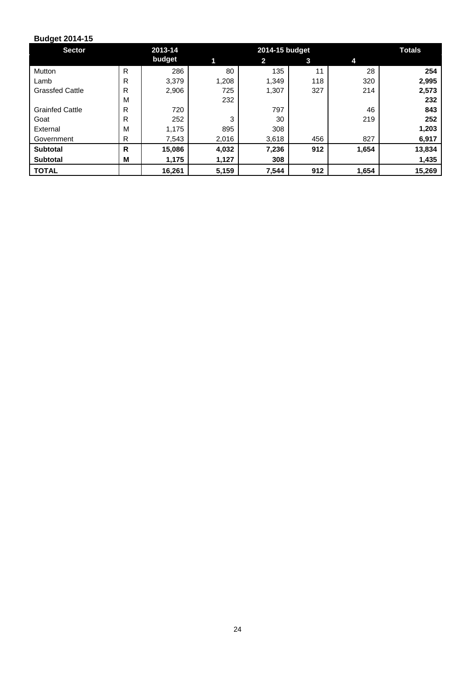| <b>Sector</b>          |              | 2013-14 |       | 2014-15 budget |     |       |        |  |
|------------------------|--------------|---------|-------|----------------|-----|-------|--------|--|
|                        |              | budget  | 1     | $\mathbf{2}$   | 3   | 4     |        |  |
| Mutton                 | R            | 286     | 80    | 135            | 11  | 28    | 254    |  |
| Lamb                   | R            | 3,379   | 1,208 | 1.349          | 118 | 320   | 2,995  |  |
| <b>Grassfed Cattle</b> | $\mathsf{R}$ | 2,906   | 725   | 1,307          | 327 | 214   | 2,573  |  |
|                        | M            |         | 232   |                |     |       | 232    |  |
| <b>Grainfed Cattle</b> | R            | 720     |       | 797            |     | 46    | 843    |  |
| Goat                   | $\mathsf{R}$ | 252     | 3     | 30             |     | 219   | 252    |  |
| External               | M            | 1,175   | 895   | 308            |     |       | 1,203  |  |
| Government             | R            | 7,543   | 2,016 | 3,618          | 456 | 827   | 6,917  |  |
| <b>Subtotal</b>        | $\mathsf{R}$ | 15,086  | 4,032 | 7,236          | 912 | 1,654 | 13,834 |  |
| <b>Subtotal</b>        | M            | 1,175   | 1,127 | 308            |     |       | 1,435  |  |
| <b>TOTAL</b>           |              | 16,261  | 5,159 | 7,544          | 912 | 1,654 | 15,269 |  |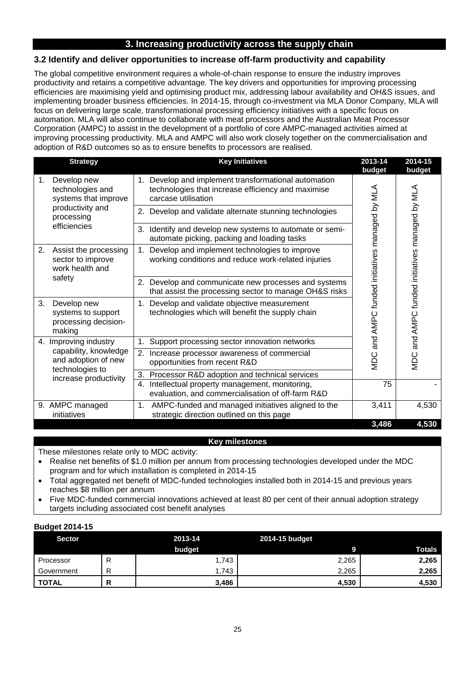# **3. Increasing productivity across the supply chain**

## **3.2 Identify and deliver opportunities to increase off-farm productivity and capability**

The global competitive environment requires a whole-of-chain response to ensure the industry improves productivity and retains a competitive advantage. The key drivers and opportunities for improving processing efficiencies are maximising yield and optimising product mix, addressing labour availability and OH&S issues, and implementing broader business efficiencies. In 2014-15, through co-investment via MLA Donor Company, MLA will focus on delivering large scale, transformational processing efficiency initiatives with a specific focus on automation. MLA will also continue to collaborate with meat processors and the Australian Meat Processor Corporation (AMPC) to assist in the development of a portfolio of core AMPC-managed activities aimed at improving processing productivity. MLA and AMPC will also work closely together on the commercialisation and adoption of R&D outcomes so as to ensure benefits to processors are realised.

| <b>Strategy</b>                                                                          | <b>Key Initiatives</b>                                                                                                            | 2013-14<br>budget                          | 2014-15<br>budget                              |
|------------------------------------------------------------------------------------------|-----------------------------------------------------------------------------------------------------------------------------------|--------------------------------------------|------------------------------------------------|
| Develop new<br>1.<br>technologies and<br>systems that improve                            | 1. Develop and implement transformational automation<br>technologies that increase efficiency and maximise<br>carcase utilisation |                                            |                                                |
| productivity and<br>processing                                                           | 2. Develop and validate alternate stunning technologies                                                                           |                                            |                                                |
| efficiencies                                                                             | 3. Identify and develop new systems to automate or semi-<br>automate picking, packing and loading tasks                           |                                            |                                                |
| 2.<br>Assist the processing<br>sector to improve<br>work health and<br>safety            | Develop and implement technologies to improve<br>working conditions and reduce work-related injuries                              |                                            |                                                |
|                                                                                          | 2. Develop and communicate new processes and systems<br>that assist the processing sector to manage OH&S risks                    |                                            |                                                |
| 3.<br>Develop new<br>systems to support<br>processing decision-<br>making                | Develop and validate objective measurement<br>1.<br>technologies which will benefit the supply chain                              | and AMPC funded initiatives managed by MLA | MDC and AMPC funded initiatives managed by MLA |
| 4. Improving industry                                                                    | Support processing sector innovation networks                                                                                     |                                            |                                                |
| capability, knowledge<br>and adoption of new<br>technologies to<br>increase productivity | 2. Increase processor awareness of commercial<br>opportunities from recent R&D                                                    | <b>MDC</b>                                 |                                                |
|                                                                                          | 3.<br>Processor R&D adoption and technical services                                                                               |                                            |                                                |
|                                                                                          | Intellectual property management, monitoring,<br>4.<br>evaluation, and commercialisation of off-farm R&D                          | 75                                         |                                                |
| 9. AMPC managed<br>initiatives                                                           | AMPC-funded and managed initiatives aligned to the<br>1.<br>strategic direction outlined on this page                             | 3,411                                      | 4,530                                          |
|                                                                                          |                                                                                                                                   | 3,486                                      | 4,530                                          |

#### **Key milestones**

These milestones relate only to MDC activity:

- Realise net benefits of \$1.0 million per annum from processing technologies developed under the MDC program and for which installation is completed in 2014-15
- Total aggregated net benefit of MDC-funded technologies installed both in 2014-15 and previous years reaches \$8 million per annum
- Five MDC-funded commercial innovations achieved at least 80 per cent of their annual adoption strategy targets including associated cost benefit analyses

| <b>Sector</b> | 2013-14 | 2014-15 budget |               |
|---------------|---------|----------------|---------------|
|               | budget  |                | <b>Totals</b> |
| Processor     | 1.743   | 2,265          | 2,265         |
| Government    | .743    | 2,265          | 2,265         |
| <b>TOTAL</b>  | 3,486   | 4,530          | 4,530         |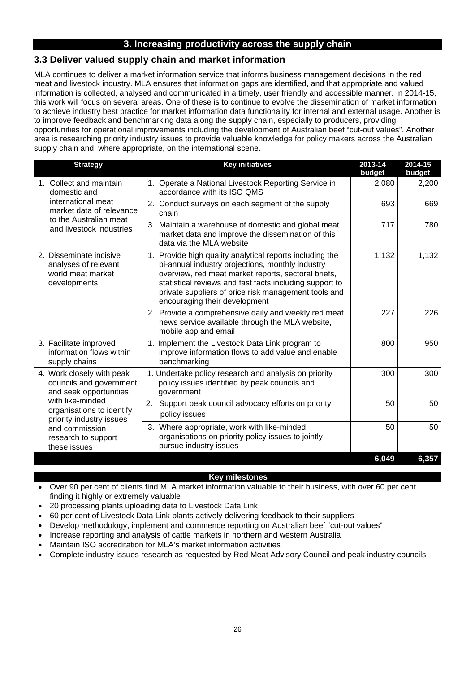# **3. Increasing productivity across the supply chain**

# **3.3 Deliver valued supply chain and market information**

MLA continues to deliver a market information service that informs business management decisions in the red meat and livestock industry. MLA ensures that information gaps are identified, and that appropriate and valued information is collected, analysed and communicated in a timely, user friendly and accessible manner. In 2014-15, this work will focus on several areas. One of these is to continue to evolve the dissemination of market information to achieve industry best practice for market information data functionality for internal and external usage. Another is to improve feedback and benchmarking data along the supply chain, especially to producers, providing opportunities for operational improvements including the development of Australian beef "cut-out values". Another area is researching priority industry issues to provide valuable knowledge for policy makers across the Australian supply chain and, where appropriate, on the international scene.

| <b>Strategy</b>                                                                                                                                                                                                      | <b>Key initiatives</b>                                                                                                                                                                                                                                                                                                  | 2013-14<br>budget | 2014-15<br>budget |
|----------------------------------------------------------------------------------------------------------------------------------------------------------------------------------------------------------------------|-------------------------------------------------------------------------------------------------------------------------------------------------------------------------------------------------------------------------------------------------------------------------------------------------------------------------|-------------------|-------------------|
| 1. Collect and maintain<br>domestic and                                                                                                                                                                              | 1. Operate a National Livestock Reporting Service in<br>accordance with its ISO QMS                                                                                                                                                                                                                                     | 2,080             | 2,200             |
| international meat<br>market data of relevance<br>to the Australian meat                                                                                                                                             | 2. Conduct surveys on each segment of the supply<br>chain                                                                                                                                                                                                                                                               | 693               | 669               |
| and livestock industries                                                                                                                                                                                             | 3. Maintain a warehouse of domestic and global meat<br>market data and improve the dissemination of this<br>data via the MLA website                                                                                                                                                                                    | 717               | 780               |
| 2. Disseminate incisive<br>analyses of relevant<br>world meat market<br>developments                                                                                                                                 | 1. Provide high quality analytical reports including the<br>bi-annual industry projections, monthly industry<br>overview, red meat market reports, sectoral briefs,<br>statistical reviews and fast facts including support to<br>private suppliers of price risk management tools and<br>encouraging their development | 1,132             | 1,132             |
|                                                                                                                                                                                                                      | 2. Provide a comprehensive daily and weekly red meat<br>news service available through the MLA website,<br>mobile app and email                                                                                                                                                                                         | 227               | 226               |
| 3. Facilitate improved<br>information flows within<br>supply chains                                                                                                                                                  | 1. Implement the Livestock Data Link program to<br>improve information flows to add value and enable<br>benchmarking                                                                                                                                                                                                    | 800               | 950               |
| 4. Work closely with peak<br>councils and government<br>and seek opportunities<br>with like-minded<br>organisations to identify<br>priority industry issues<br>and commission<br>research to support<br>these issues | 1. Undertake policy research and analysis on priority<br>policy issues identified by peak councils and<br>government                                                                                                                                                                                                    | 300               | 300               |
|                                                                                                                                                                                                                      | Support peak council advocacy efforts on priority<br>2.<br>policy issues                                                                                                                                                                                                                                                | 50                | 50                |
|                                                                                                                                                                                                                      | 3. Where appropriate, work with like-minded<br>organisations on priority policy issues to jointly<br>pursue industry issues                                                                                                                                                                                             | 50                | 50                |
|                                                                                                                                                                                                                      |                                                                                                                                                                                                                                                                                                                         | 6,049             | 6,357             |

#### **Key milestones**

- Over 90 per cent of clients find MLA market information valuable to their business, with over 60 per cent finding it highly or extremely valuable
- 20 processing plants uploading data to Livestock Data Link
- 60 per cent of Livestock Data Link plants actively delivering feedback to their suppliers
- Develop methodology, implement and commence reporting on Australian beef "cut-out values"
- Increase reporting and analysis of cattle markets in northern and western Australia
- Maintain ISO accreditation for MLA's market information activities
- Complete industry issues research as requested by Red Meat Advisory Council and peak industry councils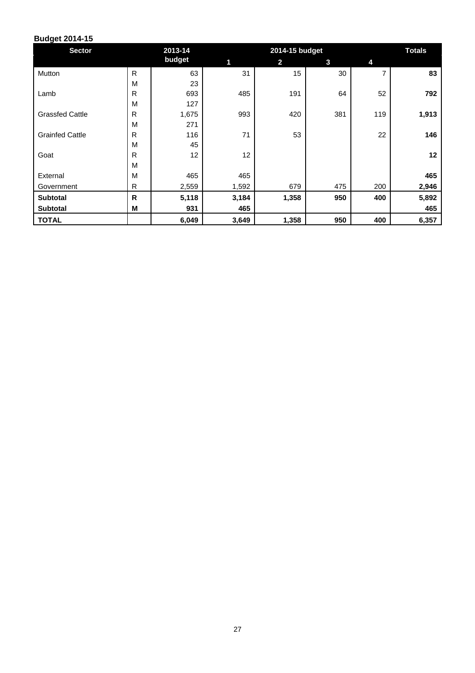| <b>Sector</b>          |              | 2013-14 |       | 2014-15 budget | <b>Totals</b> |     |       |
|------------------------|--------------|---------|-------|----------------|---------------|-----|-------|
|                        |              | budget  | 1     | $\overline{2}$ | 3             | 4   |       |
| Mutton                 | $\mathsf{R}$ | 63      | 31    | 15             | 30            | 7   | 83    |
|                        | M            | 23      |       |                |               |     |       |
| Lamb                   | $\mathsf{R}$ | 693     | 485   | 191            | 64            | 52  | 792   |
|                        | M            | 127     |       |                |               |     |       |
| <b>Grassfed Cattle</b> | R            | 1,675   | 993   | 420            | 381           | 119 | 1,913 |
|                        | M            | 271     |       |                |               |     |       |
| <b>Grainfed Cattle</b> | $\mathsf{R}$ | 116     | 71    | 53             |               | 22  | 146   |
|                        | M            | 45      |       |                |               |     |       |
| Goat                   | $\mathsf{R}$ | 12      | 12    |                |               |     | 12    |
|                        | M            |         |       |                |               |     |       |
| External               | M            | 465     | 465   |                |               |     | 465   |
| Government             | $\mathsf{R}$ | 2,559   | 1,592 | 679            | 475           | 200 | 2,946 |
| <b>Subtotal</b>        | $\mathsf{R}$ | 5,118   | 3,184 | 1,358          | 950           | 400 | 5,892 |
| <b>Subtotal</b>        | M            | 931     | 465   |                |               |     | 465   |
| <b>TOTAL</b>           |              | 6,049   | 3,649 | 1,358          | 950           | 400 | 6,357 |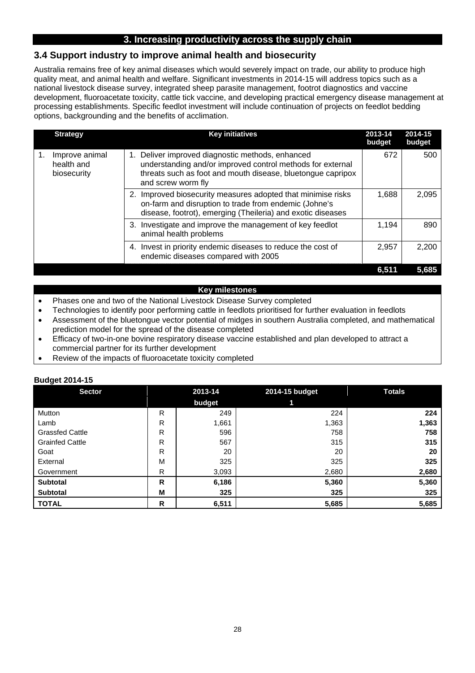# **3. Increasing productivity across the supply chain**

## **3.4 Support industry to improve animal health and biosecurity**

Australia remains free of key animal diseases which would severely impact on trade, our ability to produce high quality meat, and animal health and welfare. Significant investments in 2014-15 will address topics such as a national livestock disease survey, integrated sheep parasite management, footrot diagnostics and vaccine development, fluoroacetate toxicity, cattle tick vaccine, and developing practical emergency disease management at processing establishments. Specific feedlot investment will include continuation of projects on feedlot bedding options, backgrounding and the benefits of acclimation.

| <b>Strategy</b>                                   | <b>Key initiatives</b>                                                                                                                                                                                 | 2013-14<br>budget | 2014-15<br>budget |
|---------------------------------------------------|--------------------------------------------------------------------------------------------------------------------------------------------------------------------------------------------------------|-------------------|-------------------|
| Improve animal<br>1.<br>health and<br>biosecurity | Deliver improved diagnostic methods, enhanced<br>1.<br>understanding and/or improved control methods for external<br>threats such as foot and mouth disease, bluetongue capripox<br>and screw worm fly | 672               | 500               |
|                                                   | Improved biosecurity measures adopted that minimise risks<br>on-farm and disruption to trade from endemic (Johne's<br>disease, footrot), emerging (Theileria) and exotic diseases                      | 1,688             | 2,095             |
|                                                   | 3. Investigate and improve the management of key feedlot<br>animal health problems                                                                                                                     | 1,194             | 890               |
|                                                   | Invest in priority endemic diseases to reduce the cost of<br>4.<br>endemic diseases compared with 2005                                                                                                 | 2.957             | 2,200             |
|                                                   |                                                                                                                                                                                                        | 6,511             | 5,685             |

#### **Key milestones**

- Phases one and two of the National Livestock Disease Survey completed
- Technologies to identify poor performing cattle in feedlots prioritised for further evaluation in feedlots
- Assessment of the bluetongue vector potential of midges in southern Australia completed, and mathematical prediction model for the spread of the disease completed
- Efficacy of two-in-one bovine respiratory disease vaccine established and plan developed to attract a commercial partner for its further development
- Review of the impacts of fluoroacetate toxicity completed

| -<br><b>Sector</b>     |              | 2013-14 | 2014-15 budget | <b>Totals</b> |
|------------------------|--------------|---------|----------------|---------------|
|                        |              | budget  | 1              |               |
| Mutton                 | R            | 249     | 224            | 224           |
| Lamb                   | R            | 1,661   | 1,363          | 1,363         |
| <b>Grassfed Cattle</b> | R            | 596     | 758            | 758           |
| <b>Grainfed Cattle</b> | $\mathsf{R}$ | 567     | 315            | 315           |
| Goat                   | $\mathsf{R}$ | 20      | 20             | 20            |
| External               | M            | 325     | 325            | 325           |
| Government             | R            | 3,093   | 2,680          | 2,680         |
| <b>Subtotal</b>        | $\mathsf{R}$ | 6,186   | 5,360          | 5,360         |
| <b>Subtotal</b>        | M            | 325     | 325            | 325           |
| <b>TOTAL</b>           | R            | 6,511   | 5,685          | 5,685         |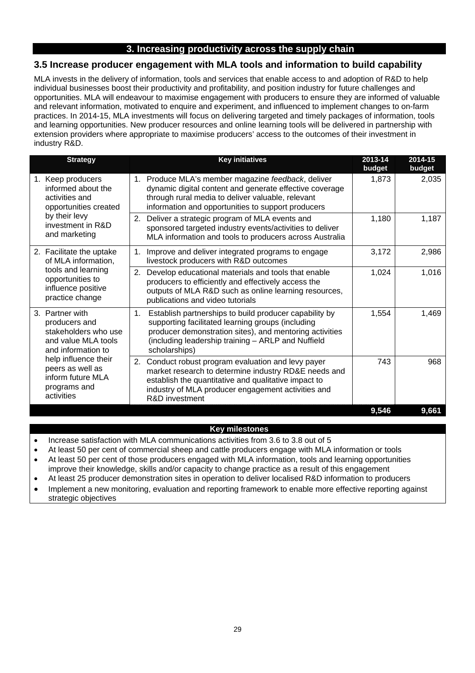# **3. Increasing productivity across the supply chain**

# **3.5 Increase producer engagement with MLA tools and information to build capability**

MLA invests in the delivery of information, tools and services that enable access to and adoption of R&D to help individual businesses boost their productivity and profitability, and position industry for future challenges and opportunities. MLA will endeavour to maximise engagement with producers to ensure they are informed of valuable and relevant information, motivated to enquire and experiment, and influenced to implement changes to on-farm practices. In 2014-15, MLA investments will focus on delivering targeted and timely packages of information, tools and learning opportunities. New producer resources and online learning tools will be delivered in partnership with extension providers where appropriate to maximise producers' access to the outcomes of their investment in industry R&D.

| <b>Strategy</b>                                                                                                                                                                                      | <b>Key initiatives</b>                                                                                                                                                                                                                              | 2013-14<br>budget | 2014-15<br>budget |
|------------------------------------------------------------------------------------------------------------------------------------------------------------------------------------------------------|-----------------------------------------------------------------------------------------------------------------------------------------------------------------------------------------------------------------------------------------------------|-------------------|-------------------|
| 1. Keep producers<br>informed about the<br>activities and<br>opportunities created<br>by their levy<br>investment in R&D<br>and marketing                                                            | 1. Produce MLA's member magazine feedback, deliver<br>dynamic digital content and generate effective coverage<br>through rural media to deliver valuable, relevant<br>information and opportunities to support producers                            | 1,873             | 2,035             |
|                                                                                                                                                                                                      | Deliver a strategic program of MLA events and<br>2.<br>sponsored targeted industry events/activities to deliver<br>MLA information and tools to producers across Australia                                                                          | 1,180             | 1,187             |
| 2. Facilitate the uptake<br>of MLA information,<br>tools and learning<br>opportunities to<br>influence positive<br>practice change                                                                   | Improve and deliver integrated programs to engage<br>1 <sub>1</sub><br>livestock producers with R&D outcomes                                                                                                                                        | 3,172             | 2,986             |
|                                                                                                                                                                                                      | Develop educational materials and tools that enable<br>2.<br>producers to efficiently and effectively access the<br>outputs of MLA R&D such as online learning resources,<br>publications and video tutorials                                       | 1,024             | 1,016             |
| 3. Partner with<br>producers and<br>stakeholders who use<br>and value MLA tools<br>and information to<br>help influence their<br>peers as well as<br>inform future MLA<br>programs and<br>activities | Establish partnerships to build producer capability by<br>1.<br>supporting facilitated learning groups (including<br>producer demonstration sites), and mentoring activities<br>(including leadership training - ARLP and Nuffield<br>scholarships) | 1,554             | 1,469             |
|                                                                                                                                                                                                      | Conduct robust program evaluation and levy payer<br>2.<br>market research to determine industry RD&E needs and<br>establish the quantitative and qualitative impact to<br>industry of MLA producer engagement activities and<br>R&D investment      | 743               | 968               |
|                                                                                                                                                                                                      |                                                                                                                                                                                                                                                     | 9,546             | 9,661             |

#### **Key milestones**

- Increase satisfaction with MLA communications activities from 3.6 to 3.8 out of 5
- At least 50 per cent of commercial sheep and cattle producers engage with MLA information or tools
- At least 50 per cent of those producers engaged with MLA information, tools and learning opportunities improve their knowledge, skills and/or capacity to change practice as a result of this engagement
- At least 25 producer demonstration sites in operation to deliver localised R&D information to producers
- Implement a new monitoring, evaluation and reporting framework to enable more effective reporting against strategic objectives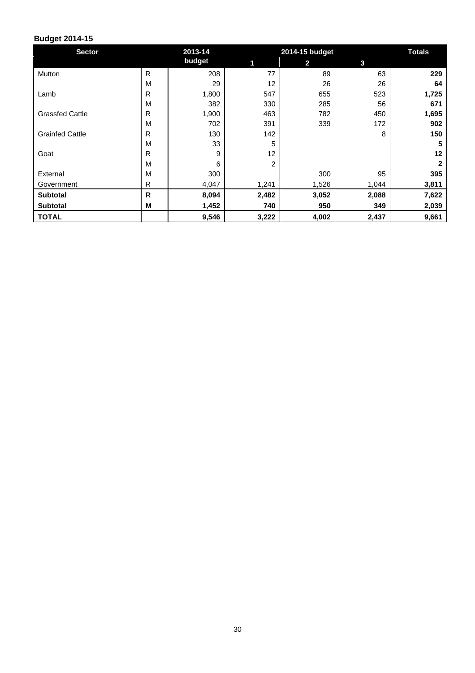| <b>Sector</b>          |              | 2013-14 |       | 2014-15 budget |       |       |  |
|------------------------|--------------|---------|-------|----------------|-------|-------|--|
|                        |              | budget  | 1     | $\mathbf{2}$   | 3     |       |  |
| Mutton                 | $\mathsf{R}$ | 208     | 77    | 89             | 63    | 229   |  |
|                        | M            | 29      | 12    | 26             | 26    | 64    |  |
| Lamb                   | R            | 1,800   | 547   | 655            | 523   | 1,725 |  |
|                        | M            | 382     | 330   | 285            | 56    | 671   |  |
| <b>Grassfed Cattle</b> | R            | 1,900   | 463   | 782            | 450   | 1,695 |  |
|                        | M            | 702     | 391   | 339            | 172   | 902   |  |
| <b>Grainfed Cattle</b> | R            | 130     | 142   |                | 8     | 150   |  |
|                        | M            | 33      | 5     |                |       | 5     |  |
| Goat                   | R            | 9       | 12    |                |       | 12    |  |
|                        | M            | 6       | 2     |                |       | 2     |  |
| External               | M            | 300     |       | 300            | 95    | 395   |  |
| Government             | R            | 4,047   | 1,241 | 1,526          | 1,044 | 3,811 |  |
| <b>Subtotal</b>        | R            | 8,094   | 2,482 | 3,052          | 2,088 | 7,622 |  |
| <b>Subtotal</b>        | M            | 1,452   | 740   | 950            | 349   | 2,039 |  |
| <b>TOTAL</b>           |              | 9,546   | 3,222 | 4,002          | 2,437 | 9,661 |  |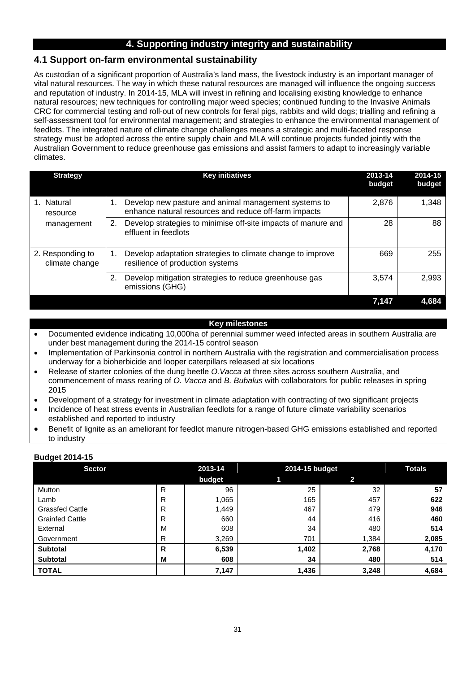# **4. Supporting industry integrity and sustainability**

# **4.1 Support on-farm environmental sustainability**

As custodian of a significant proportion of Australia's land mass, the livestock industry is an important manager of vital natural resources. The way in which these natural resources are managed will influence the ongoing success and reputation of industry. In 2014-15, MLA will invest in refining and localising existing knowledge to enhance natural resources; new techniques for controlling major weed species; continued funding to the Invasive Animals CRC for commercial testing and roll-out of new controls for feral pigs, rabbits and wild dogs; trialling and refining a self-assessment tool for environmental management; and strategies to enhance the environmental management of feedlots. The integrated nature of climate change challenges means a strategic and multi-faceted response strategy must be adopted across the entire supply chain and MLA will continue projects funded jointly with the Australian Government to reduce greenhouse gas emissions and assist farmers to adapt to increasingly variable climates.

| <b>Strategy</b>                    | <b>Key initiatives</b>                                                                                              | 2013-14<br>budget | 2014-15<br>budget |
|------------------------------------|---------------------------------------------------------------------------------------------------------------------|-------------------|-------------------|
| 1. Natural<br>resource             | Develop new pasture and animal management systems to<br>1.<br>enhance natural resources and reduce off-farm impacts | 2,876             | 1,348             |
| management                         | Develop strategies to minimise off-site impacts of manure and<br>2.<br>effluent in feedlots                         | 28                | 88                |
| 2. Responding to<br>climate change | Develop adaptation strategies to climate change to improve<br>1.<br>resilience of production systems                | 669               | 255               |
|                                    | Develop mitigation strategies to reduce greenhouse gas<br>2.<br>emissions (GHG)                                     | 3,574             | 2,993             |
|                                    |                                                                                                                     | 7.147             | 4.684             |

#### **Key milestones**

- Documented evidence indicating 10,000ha of perennial summer weed infected areas in southern Australia are under best management during the 2014-15 control season
- Implementation of Parkinsonia control in northern Australia with the registration and commercialisation process underway for a bioherbicide and looper caterpillars released at six locations
- Release of starter colonies of the dung beetle *O.Vacca* at three sites across southern Australia, and commencement of mass rearing of *O. Vacca* and *B. Bubalus* with collaborators for public releases in spring 2015
- Development of a strategy for investment in climate adaptation with contracting of two significant projects
- Incidence of heat stress events in Australian feedlots for a range of future climate variability scenarios established and reported to industry
- Benefit of lignite as an ameliorant for feedlot manure nitrogen-based GHG emissions established and reported to industry

| <b>Sector</b>          |   | 2013-14 | 2014-15 budget |       | <b>Totals</b> |
|------------------------|---|---------|----------------|-------|---------------|
|                        |   | budget  | 1              | 2     |               |
| Mutton                 | R | 96      | 25             | 32    | 57            |
| Lamb                   | R | 1,065   | 165            | 457   | 622           |
| <b>Grassfed Cattle</b> | R | 1,449   | 467            | 479   | 946           |
| <b>Grainfed Cattle</b> | R | 660     | 44             | 416   | 460           |
| External               | M | 608     | 34             | 480   | 514           |
| Government             | R | 3,269   | 701            | 1,384 | 2,085         |
| <b>Subtotal</b>        | R | 6,539   | 1,402          | 2,768 | 4,170         |
| <b>Subtotal</b>        | M | 608     | 34             | 480   | 514           |
| <b>TOTAL</b>           |   | 7,147   | 1,436          | 3,248 | 4,684         |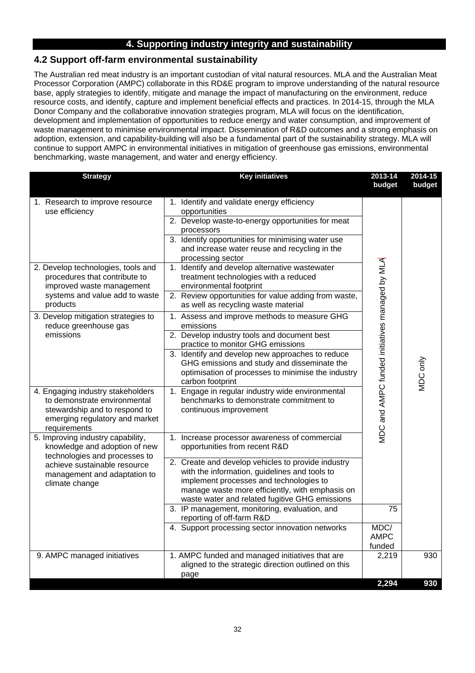# **4. Supporting industry integrity and sustainability**

# **4.2 Support off-farm environmental sustainability**

The Australian red meat industry is an important custodian of vital natural resources. MLA and the Australian Meat Processor Corporation (AMPC) collaborate in this RD&E program to improve understanding of the natural resource base, apply strategies to identify, mitigate and manage the impact of manufacturing on the environment, reduce resource costs, and identify, capture and implement beneficial effects and practices. In 2014-15, through the MLA Donor Company and the collaborative innovation strategies program, MLA will focus on the identification, development and implementation of opportunities to reduce energy and water consumption, and improvement of waste management to minimise environmental impact. Dissemination of R&D outcomes and a strong emphasis on adoption, extension, and capability-building will also be a fundamental part of the sustainability strategy. MLA will continue to support AMPC in environmental initiatives in mitigation of greenhouse gas emissions, environmental benchmarking, waste management, and water and energy efficiency.

| <b>Strategy</b>                                                                                                                                                                                       | <b>Key initiatives</b>                                                                                                                                                                                                                                                                                                                | 2013-14<br>budget                              | 2014-15<br>budget |
|-------------------------------------------------------------------------------------------------------------------------------------------------------------------------------------------------------|---------------------------------------------------------------------------------------------------------------------------------------------------------------------------------------------------------------------------------------------------------------------------------------------------------------------------------------|------------------------------------------------|-------------------|
| 1. Research to improve resource<br>use efficiency                                                                                                                                                     | 1. Identify and validate energy efficiency<br>opportunities<br>2. Develop waste-to-energy opportunities for meat<br>processors<br>3. Identify opportunities for minimising water use<br>and increase water reuse and recycling in the<br>processing sector                                                                            |                                                |                   |
| 2. Develop technologies, tools and<br>procedures that contribute to<br>improved waste management<br>systems and value add to waste<br>products                                                        | 1. Identify and develop alternative wastewater<br>treatment technologies with a reduced<br>environmental footprint<br>2. Review opportunities for value adding from waste,<br>as well as recycling waste material                                                                                                                     |                                                |                   |
| 3. Develop mitigation strategies to<br>reduce greenhouse gas<br>emissions                                                                                                                             | 1. Assess and improve methods to measure GHG<br>emissions<br>2. Develop industry tools and document best<br>practice to monitor GHG emissions<br>3. Identify and develop new approaches to reduce<br>GHG emissions and study and disseminate the                                                                                      |                                                |                   |
| 4. Engaging industry stakeholders<br>to demonstrate environmental<br>stewardship and to respond to<br>emerging regulatory and market                                                                  | optimisation of processes to minimise the industry<br>carbon footprint<br>1. Engage in regular industry wide environmental<br>benchmarks to demonstrate commitment to<br>continuous improvement                                                                                                                                       | MDC and AMPC funded initiatives managed by MLA | VIDC only         |
| requirements<br>5. Improving industry capability,<br>knowledge and adoption of new<br>technologies and processes to<br>achieve sustainable resource<br>management and adaptation to<br>climate change | 1. Increase processor awareness of commercial<br>opportunities from recent R&D<br>2. Create and develop vehicles to provide industry<br>with the information, guidelines and tools to<br>implement processes and technologies to<br>manage waste more efficiently, with emphasis on<br>waste water and related fugitive GHG emissions |                                                |                   |
|                                                                                                                                                                                                       | 3. IP management, monitoring, evaluation, and<br>reporting of off-farm R&D<br>4. Support processing sector innovation networks                                                                                                                                                                                                        | 75<br>MDC/<br><b>AMPC</b><br>funded            |                   |
| 9. AMPC managed initiatives                                                                                                                                                                           | 1. AMPC funded and managed initiatives that are<br>aligned to the strategic direction outlined on this<br>page                                                                                                                                                                                                                        | 2,219<br>2,294                                 | 930<br>930        |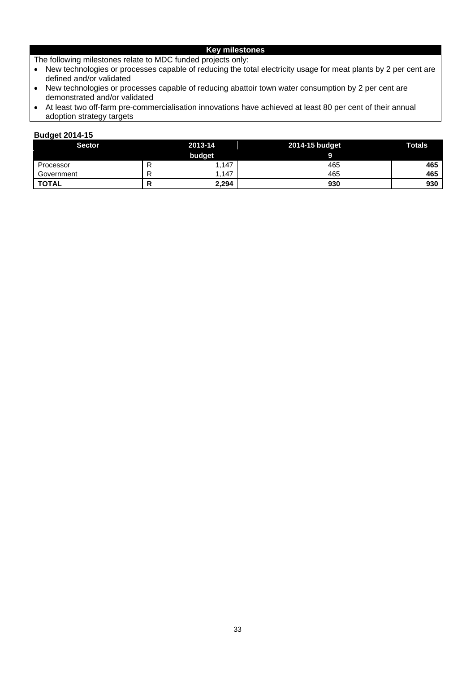## **Key milestones**

The following milestones relate to MDC funded projects only:

- New technologies or processes capable of reducing the total electricity usage for meat plants by 2 per cent are defined and/or validated
- New technologies or processes capable of reducing abattoir town water consumption by 2 per cent are demonstrated and/or validated
- At least two off-farm pre-commercialisation innovations have achieved at least 80 per cent of their annual adoption strategy targets

| <b>Sector</b> | 2013-14 |        | 2014-15 budget | <b>Totals</b> |
|---------------|---------|--------|----------------|---------------|
|               |         | budget |                |               |
| Processor     | R       | 1.147  | 465            | 465           |
| Government    | R       | .147   | 465            | 465           |
| <b>TOTAL</b>  |         | 2,294  | 930            | 930           |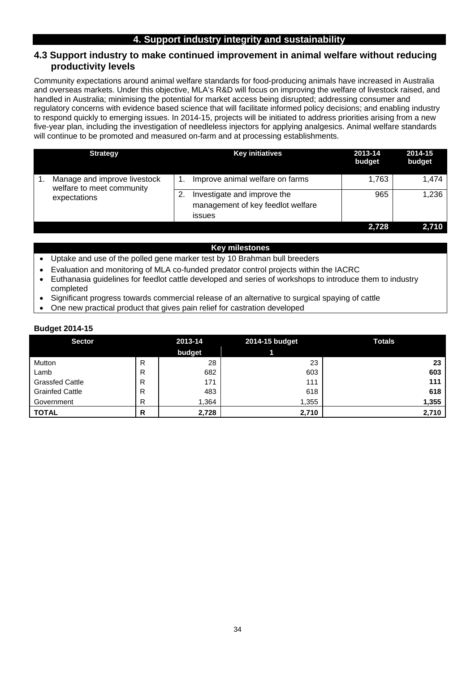# **4. Support industry integrity and sustainability**

#### **4.3 Support industry to make continued improvement in animal welfare without reducing productivity levels**

Community expectations around animal welfare standards for food-producing animals have increased in Australia and overseas markets. Under this objective, MLA's R&D will focus on improving the welfare of livestock raised, and handled in Australia; minimising the potential for market access being disrupted; addressing consumer and regulatory concerns with evidence based science that will facilitate informed policy decisions; and enabling industry to respond quickly to emerging issues. In 2014-15, projects will be initiated to address priorities arising from a new five-year plan, including the investigation of needleless injectors for applying analgesics. Animal welfare standards will continue to be promoted and measured on-farm and at processing establishments.

| <b>Strategy</b>                                                           | <b>Key initiatives</b>                                                                                        | 2013-14<br>budget | 2014-15<br>budget |
|---------------------------------------------------------------------------|---------------------------------------------------------------------------------------------------------------|-------------------|-------------------|
| Manage and improve livestock<br>welfare to meet community<br>expectations | Improve animal welfare on farms<br>Investigate and improve the<br>management of key feedlot welfare<br>issues | 1,763<br>965      | 1.474<br>1,236    |
|                                                                           |                                                                                                               | 2,728             | 2.710             |

#### **Key milestones**

- Uptake and use of the polled gene marker test by 10 Brahman bull breeders
- Evaluation and monitoring of MLA co-funded predator control projects within the IACRC
- Euthanasia guidelines for feedlot cattle developed and series of workshops to introduce them to industry completed
- Significant progress towards commercial release of an alternative to surgical spaying of cattle
- One new practical product that gives pain relief for castration developed

| <b>Sector</b>          | 2013-14 |        | 2014-15 budget | <b>Totals</b> |
|------------------------|---------|--------|----------------|---------------|
|                        |         | budget |                |               |
| Mutton                 | R       | 28     | 23             | 23            |
| Lamb                   | R       | 682    | 603            | 603           |
| <b>Grassfed Cattle</b> | R       | 171    | 111            | 111           |
| <b>Grainfed Cattle</b> | R       | 483    | 618            | 618           |
| Government             | R       | .364   | 1,355          | 1,355         |
| <b>TOTAL</b>           | R       | 2,728  | 2,710          | 2,710         |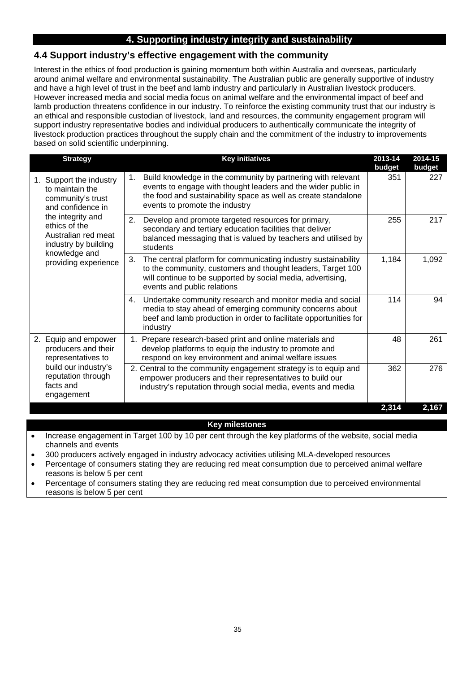# **4. Supporting industry integrity and sustainability**

# **4.4 Support industry's effective engagement with the community**

Interest in the ethics of food production is gaining momentum both within Australia and overseas, particularly around animal welfare and environmental sustainability. The Australian public are generally supportive of industry and have a high level of trust in the beef and lamb industry and particularly in Australian livestock producers. However increased media and social media focus on animal welfare and the environmental impact of beef and lamb production threatens confidence in our industry. To reinforce the existing community trust that our industry is an ethical and responsible custodian of livestock, land and resources, the community engagement program will support industry representative bodies and individual producers to authentically communicate the integrity of livestock production practices throughout the supply chain and the commitment of the industry to improvements based on solid scientific underpinning.

| <b>Strategy</b>                                                                                                            | <b>Key initiatives</b>                                                                                                                                                                                                                  | 2013-14<br>budget | 2014-15<br>budget |
|----------------------------------------------------------------------------------------------------------------------------|-----------------------------------------------------------------------------------------------------------------------------------------------------------------------------------------------------------------------------------------|-------------------|-------------------|
| Support the industry<br>1.<br>to maintain the<br>community's trust<br>and confidence in                                    | Build knowledge in the community by partnering with relevant<br>1.<br>events to engage with thought leaders and the wider public in<br>the food and sustainability space as well as create standalone<br>events to promote the industry | 351               | 227               |
| the integrity and<br>ethics of the<br>Australian red meat<br>industry by building<br>knowledge and<br>providing experience | 2.<br>Develop and promote targeted resources for primary,<br>secondary and tertiary education facilities that deliver<br>balanced messaging that is valued by teachers and utilised by<br>students                                      | 255               | 217               |
|                                                                                                                            | 3.<br>The central platform for communicating industry sustainability<br>to the community, customers and thought leaders, Target 100<br>will continue to be supported by social media, advertising,<br>events and public relations       | 1,184             | 1,092             |
|                                                                                                                            | Undertake community research and monitor media and social<br>4.<br>media to stay ahead of emerging community concerns about<br>beef and lamb production in order to facilitate opportunities for<br>industry                            | 114               | 94                |
| 2. Equip and empower<br>producers and their<br>representatives to                                                          | Prepare research-based print and online materials and<br>1.<br>develop platforms to equip the industry to promote and<br>respond on key environment and animal welfare issues                                                           | 48                | 261               |
| build our industry's<br>reputation through<br>facts and<br>engagement                                                      | 2. Central to the community engagement strategy is to equip and<br>empower producers and their representatives to build our<br>industry's reputation through social media, events and media                                             | 362               | 276               |
|                                                                                                                            |                                                                                                                                                                                                                                         | 2,314             | 2,167             |

#### **Key milestones**

- Increase engagement in Target 100 by 10 per cent through the key platforms of the website, social media channels and events
- 300 producers actively engaged in industry advocacy activities utilising MLA-developed resources
- Percentage of consumers stating they are reducing red meat consumption due to perceived animal welfare reasons is below 5 per cent
- Percentage of consumers stating they are reducing red meat consumption due to perceived environmental reasons is below 5 per cent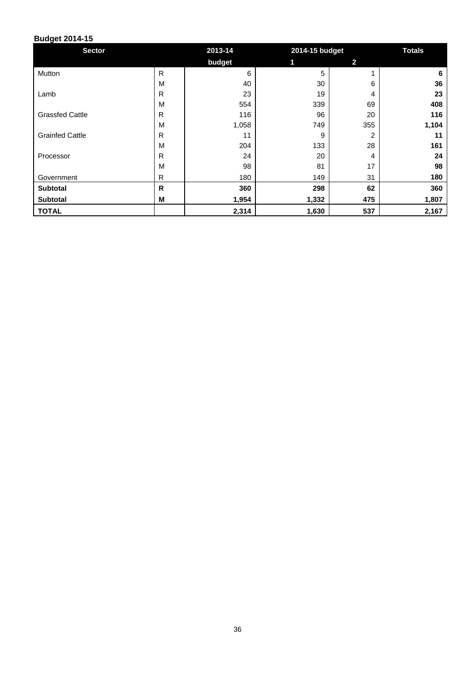| <b>Sector</b>          | 2013-14      |        | 2014-15 budget |                | <b>Totals</b> |
|------------------------|--------------|--------|----------------|----------------|---------------|
|                        |              | budget | 1              | $\overline{2}$ |               |
| Mutton                 | $\mathsf{R}$ | 6      | 5              |                | 6             |
|                        | M            | 40     | 30             | 6              | 36            |
| Lamb                   | R            | 23     | 19             | 4              | 23            |
|                        | M            | 554    | 339            | 69             | 408           |
| <b>Grassfed Cattle</b> | R            | 116    | 96             | 20             | 116           |
|                        | M            | 1,058  | 749            | 355            | 1,104         |
| <b>Grainfed Cattle</b> | R            | 11     | 9              | $\overline{2}$ | 11            |
|                        | M            | 204    | 133            | 28             | 161           |
| Processor              | R            | 24     | 20             | 4              | 24            |
|                        | M            | 98     | 81             | 17             | 98            |
| Government             | R            | 180    | 149            | 31             | 180           |
| Subtotal               | R            | 360    | 298            | 62             | 360           |
| <b>Subtotal</b>        | M            | 1,954  | 1,332          | 475            | 1,807         |
| <b>TOTAL</b>           |              | 2,314  | 1,630          | 537            | 2,167         |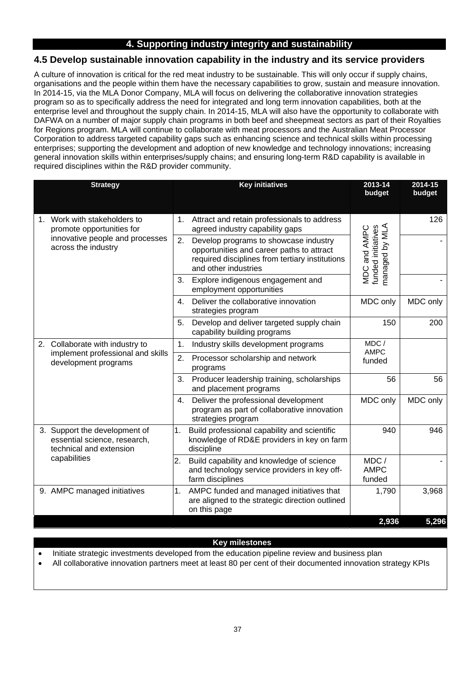# **4. Supporting industry integrity and sustainability**

# **4.5 Develop sustainable innovation capability in the industry and its service providers**

A culture of innovation is critical for the red meat industry to be sustainable. This will only occur if supply chains, organisations and the people within them have the necessary capabilities to grow, sustain and measure innovation. In 2014-15, via the MLA Donor Company, MLA will focus on delivering the collaborative innovation strategies program so as to specifically address the need for integrated and long term innovation capabilities, both at the enterprise level and throughout the supply chain. In 2014-15, MLA will also have the opportunity to collaborate with DAFWA on a number of major supply chain programs in both beef and sheepmeat sectors as part of their Royalties for Regions program. MLA will continue to collaborate with meat processors and the Australian Meat Processor Corporation to address targeted capability gaps such as enhancing science and technical skills within processing enterprises; supporting the development and adoption of new knowledge and technology innovations; increasing general innovation skills within enterprises/supply chains; and ensuring long-term R&D capability is available in required disciplines within the R&D provider community.

| <b>Strategy</b>                                                                          | <b>Key initiatives</b>                                                                                                                                              | 2013-14<br>budget                                       | 2014-15<br>budget |
|------------------------------------------------------------------------------------------|---------------------------------------------------------------------------------------------------------------------------------------------------------------------|---------------------------------------------------------|-------------------|
| 1. Work with stakeholders to<br>promote opportunities for                                | Attract and retain professionals to address<br>1.<br>agreed industry capability gaps                                                                                |                                                         | 126               |
| innovative people and processes<br>across the industry                                   | 2.<br>Develop programs to showcase industry<br>opportunities and career paths to attract<br>required disciplines from tertiary institutions<br>and other industries | funded initiatives<br>managed by MLA<br>and AMPC<br>MDC |                   |
|                                                                                          | 3.<br>Explore indigenous engagement and<br>employment opportunities                                                                                                 |                                                         |                   |
|                                                                                          | $\mathbf{4}$ .<br>Deliver the collaborative innovation<br>strategies program                                                                                        | MDC only                                                | MDC only          |
|                                                                                          | 5.<br>Develop and deliver targeted supply chain<br>capability building programs                                                                                     | 150                                                     | 200               |
| 2. Collaborate with industry to                                                          | Industry skills development programs<br>1.                                                                                                                          | MDC/<br><b>AMPC</b>                                     |                   |
| implement professional and skills<br>development programs                                | 2.<br>Processor scholarship and network<br>programs                                                                                                                 | funded                                                  |                   |
|                                                                                          | 3.<br>Producer leadership training, scholarships<br>and placement programs                                                                                          | 56                                                      | 56                |
|                                                                                          | Deliver the professional development<br>4.<br>program as part of collaborative innovation<br>strategies program                                                     | MDC only                                                | MDC only          |
| 3. Support the development of<br>essential science, research,<br>technical and extension | Build professional capability and scientific<br>1.<br>knowledge of RD&E providers in key on farm<br>discipline                                                      | 940                                                     | 946               |
| capabilities                                                                             | 2.<br>Build capability and knowledge of science<br>and technology service providers in key off-<br>farm disciplines                                                 | MDC/<br><b>AMPC</b><br>funded                           |                   |
| 9. AMPC managed initiatives                                                              | 1.<br>AMPC funded and managed initiatives that<br>are aligned to the strategic direction outlined<br>on this page                                                   | 1,790                                                   | 3,968             |
|                                                                                          |                                                                                                                                                                     | 2,936                                                   | 5,296             |

#### **Key milestones**

Initiate strategic investments developed from the education pipeline review and business plan

All collaborative innovation partners meet at least 80 per cent of their documented innovation strategy KPIs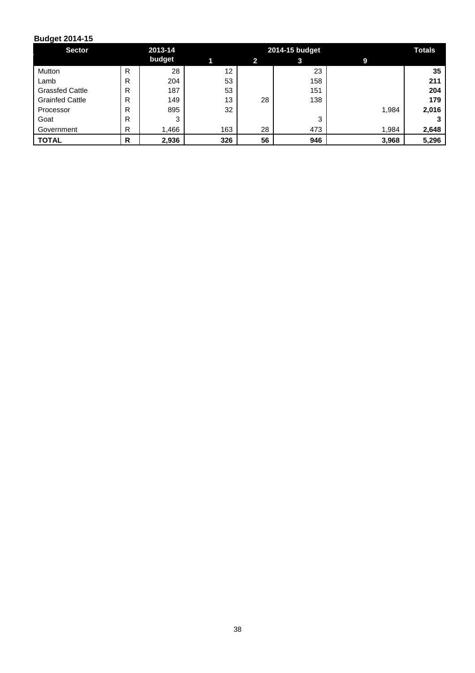| <b>Sector</b>          |   | 2013-14 |     |              | 2014-15 budget |       | <b>Totals</b> |
|------------------------|---|---------|-----|--------------|----------------|-------|---------------|
|                        |   | budget  |     | $\mathbf{2}$ | 3              | 9     |               |
| Mutton                 | R | 28      | 12  |              | 23             |       | 35            |
| Lamb                   | R | 204     | 53  |              | 158            |       | 211           |
| <b>Grassfed Cattle</b> | R | 187     | 53  |              | 151            |       | 204           |
| <b>Grainfed Cattle</b> | R | 149     | 13  | 28           | 138            |       | 179           |
| Processor              | R | 895     | 32  |              |                | 1,984 | 2,016         |
| Goat                   | R | 3       |     |              | 3              |       |               |
| Government             | R | 466. ا  | 163 | 28           | 473            | 1,984 | 2,648         |
| <b>TOTAL</b>           | R | 2,936   | 326 | 56           | 946            | 3,968 | 5,296         |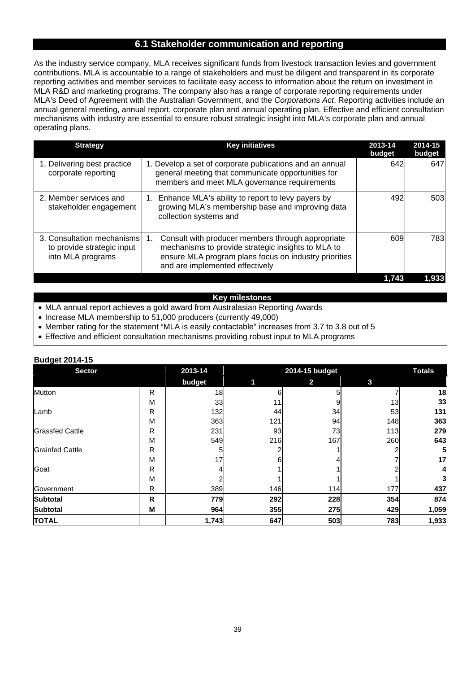#### **6.1 Stakeholder communication and reporting**

As the industry service company, MLA receives significant funds from livestock transaction levies and government contributions. MLA is accountable to a range of stakeholders and must be diligent and transparent in its corporate reporting activities and member services to facilitate easy access to information about the return on investment in MLA R&D and marketing programs. The company also has a range of corporate reporting requirements under MLA's Deed of Agreement with the Australian Government, and the *Corporations Act*. Reporting activities include an annual general meeting, annual report, corporate plan and annual operating plan. Effective and efficient consultation mechanisms with industry are essential to ensure robust strategic insight into MLA's corporate plan and annual operating plans.

| <b>Strategy</b>                                                               | <b>Key initiatives</b>                                                                                                                                                                                    | 2013-14<br>budget | 2014-15<br>budget |
|-------------------------------------------------------------------------------|-----------------------------------------------------------------------------------------------------------------------------------------------------------------------------------------------------------|-------------------|-------------------|
| 1. Delivering best practice<br>corporate reporting                            | 1. Develop a set of corporate publications and an annual<br>general meeting that communicate opportunities for<br>members and meet MLA governance requirements                                            | 642               | 647               |
| 2. Member services and<br>stakeholder engagement                              | Enhance MLA's ability to report to levy payers by<br>1.<br>growing MLA's membership base and improving data<br>collection systems and                                                                     | 492               | 503               |
| 3. Consultation mechanisms<br>to provide strategic input<br>into MLA programs | Consult with producer members through appropriate<br>1.<br>mechanisms to provide strategic insights to MLA to<br>ensure MLA program plans focus on industry priorities<br>and are implemented effectively | 609               | 783               |
|                                                                               |                                                                                                                                                                                                           | 1,743             | 1,933             |

#### **Key milestones**

- MLA annual report achieves a gold award from Australasian Reporting Awards
- Increase MLA membership to 51,000 producers (currently 49,000)
- Member rating for the statement "MLA is easily contactable" increases from 3.7 to 3.8 out of 5
- Effective and efficient consultation mechanisms providing robust input to MLA programs

| Duuyet Zulfrij         |   |         |     |               |                 |       |
|------------------------|---|---------|-----|---------------|-----------------|-------|
| <b>Sector</b>          |   | 2013-14 |     | <b>Totals</b> |                 |       |
|                        |   | budget  |     | $\mathbf{2}$  | 3               |       |
| <b>Mutton</b>          | R | 18      | 6   |               |                 | 18    |
|                        | M | 33      | 11  |               | 13 <sub>1</sub> | 33    |
| Lamb                   | R | 132     | 44  | 34            | 53              | 131   |
|                        | M | 363     | 121 | 94            | 148             | 363   |
| <b>Grassfed Cattle</b> | R | 231     | 93  | 73            | 113             | 279   |
|                        | M | 549     | 216 | 167           | 260             | 643   |
| <b>Grainfed Cattle</b> | R |         |     |               |                 | 5     |
|                        | M | 17      | 6   |               |                 | 17    |
| Goat                   | R |         |     |               |                 |       |
|                        | M |         |     |               |                 |       |
| Government             | R | 389     | 146 | 114           | 177             | 437   |
| <b>Subtotal</b>        | R | 779     | 292 | 228           | 354             | 874   |
| <b>Subtotal</b>        | M | 964     | 355 | 275           | 429             | 1,059 |
| <b>TOTAL</b>           |   | 1,743   | 647 | 503           | 783             | 1,933 |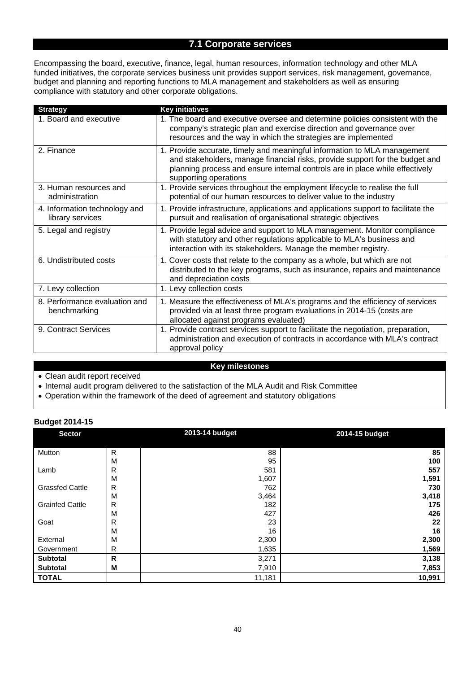# **7.1 Corporate services**

Encompassing the board, executive, finance, legal, human resources, information technology and other MLA funded initiatives, the corporate services business unit provides support services, risk management, governance, budget and planning and reporting functions to MLA management and stakeholders as well as ensuring compliance with statutory and other corporate obligations.

| <b>Strategy</b>                                   | <b>Key initiatives</b>                                                                                                                                                                                                                                            |
|---------------------------------------------------|-------------------------------------------------------------------------------------------------------------------------------------------------------------------------------------------------------------------------------------------------------------------|
| 1. Board and executive                            | 1. The board and executive oversee and determine policies consistent with the<br>company's strategic plan and exercise direction and governance over<br>resources and the way in which the strategies are implemented                                             |
| 2. Finance                                        | 1. Provide accurate, timely and meaningful information to MLA management<br>and stakeholders, manage financial risks, provide support for the budget and<br>planning process and ensure internal controls are in place while effectively<br>supporting operations |
| 3. Human resources and<br>administration          | 1. Provide services throughout the employment lifecycle to realise the full<br>potential of our human resources to deliver value to the industry                                                                                                                  |
| 4. Information technology and<br>library services | 1. Provide infrastructure, applications and applications support to facilitate the<br>pursuit and realisation of organisational strategic objectives                                                                                                              |
| 5. Legal and registry                             | 1. Provide legal advice and support to MLA management. Monitor compliance<br>with statutory and other regulations applicable to MLA's business and<br>interaction with its stakeholders. Manage the member registry.                                              |
| 6. Undistributed costs                            | 1. Cover costs that relate to the company as a whole, but which are not<br>distributed to the key programs, such as insurance, repairs and maintenance<br>and depreciation costs                                                                                  |
| 7. Levy collection                                | 1. Levy collection costs                                                                                                                                                                                                                                          |
| 8. Performance evaluation and<br>benchmarking     | 1. Measure the effectiveness of MLA's programs and the efficiency of services<br>provided via at least three program evaluations in 2014-15 (costs are<br>allocated against programs evaluated)                                                                   |
| 9. Contract Services                              | 1. Provide contract services support to facilitate the negotiation, preparation,<br>administration and execution of contracts in accordance with MLA's contract<br>approval policy                                                                                |

#### **Key milestones**

Clean audit report received

• Internal audit program delivered to the satisfaction of the MLA Audit and Risk Committee

Operation within the framework of the deed of agreement and statutory obligations

| ັ<br><b>Sector</b>     |   | 2013-14 budget | 2014-15 budget |
|------------------------|---|----------------|----------------|
| Mutton                 | R | 88             | 85             |
|                        | M | 95             | 100            |
| Lamb                   | R | 581            | 557            |
|                        | M | 1,607          | 1,591          |
| <b>Grassfed Cattle</b> | R | 762            | 730            |
|                        | M | 3,464          | 3,418          |
| <b>Grainfed Cattle</b> | R | 182            | 175            |
|                        | M | 427            | 426            |
| Goat                   | R | 23             | 22             |
|                        | M | 16             | 16             |
| External               | M | 2,300          | 2,300          |
| Government             | R | 1,635          | 1,569          |
| <b>Subtotal</b>        | R | 3,271          | 3,138          |
| <b>Subtotal</b>        | Μ | 7,910          | 7,853          |
| <b>TOTAL</b>           |   | 11,181         | 10,991         |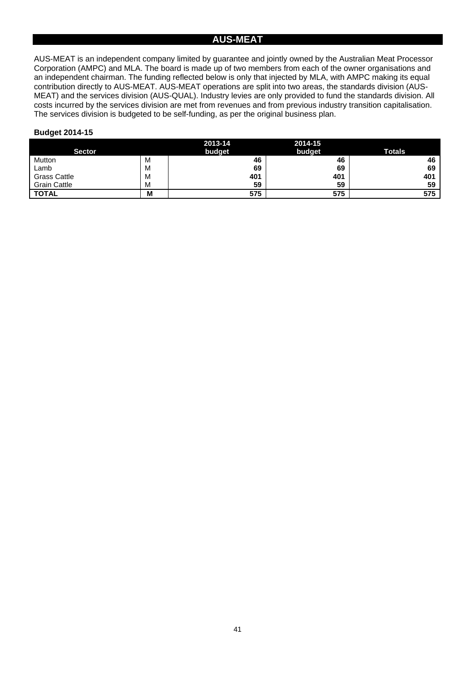## **AUS-MEAT**

AUS-MEAT is an independent company limited by guarantee and jointly owned by the Australian Meat Processor Corporation (AMPC) and MLA. The board is made up of two members from each of the owner organisations and an independent chairman. The funding reflected below is only that injected by MLA, with AMPC making its equal contribution directly to AUS-MEAT. AUS-MEAT operations are split into two areas, the standards division (AUS-MEAT) and the services division (AUS-QUAL). Industry levies are only provided to fund the standards division. All costs incurred by the services division are met from revenues and from previous industry transition capitalisation. The services division is budgeted to be self-funding, as per the original business plan.

|                     |   | 2013-14 | 2014-15 |               |
|---------------------|---|---------|---------|---------------|
| <b>Sector</b>       |   | budget  | budget  | <b>Totals</b> |
| Mutton              | M | 46      | 46      | 46            |
| Lamb                | M | 69      | 69      | 69            |
| <b>Grass Cattle</b> | M | 401     | 401     | 401           |
| <b>Grain Cattle</b> | M | 59      | 59      | 59            |
| <b>TOTAL</b>        | M | 575     | 575     | 575           |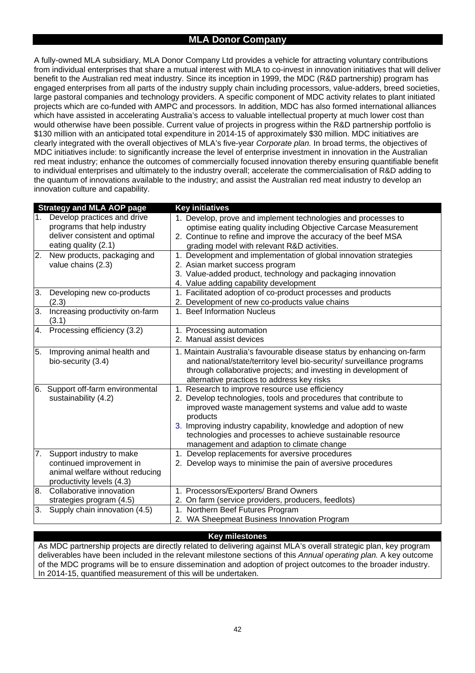#### **MLA Donor Company**

A fully-owned MLA subsidiary, MLA Donor Company Ltd provides a vehicle for attracting voluntary contributions from individual enterprises that share a mutual interest with MLA to co-invest in innovation initiatives that will deliver benefit to the Australian red meat industry. Since its inception in 1999, the MDC (R&D partnership) program has engaged enterprises from all parts of the industry supply chain including processors, value-adders, breed societies, large pastoral companies and technology providers. A specific component of MDC activity relates to plant initiated projects which are co-funded with AMPC and processors. In addition, MDC has also formed international alliances which have assisted in accelerating Australia's access to valuable intellectual property at much lower cost than would otherwise have been possible. Current value of projects in progress within the R&D partnership portfolio is \$130 million with an anticipated total expenditure in 2014-15 of approximately \$30 million. MDC initiatives are clearly integrated with the overall objectives of MLA's five-year *Corporate plan.* In broad terms, the objectives of MDC initiatives include: to significantly increase the level of enterprise investment in innovation in the Australian red meat industry; enhance the outcomes of commercially focused innovation thereby ensuring quantifiable benefit to individual enterprises and ultimately to the industry overall; accelerate the commercialisation of R&D adding to the quantum of innovations available to the industry; and assist the Australian red meat industry to develop an innovation culture and capability.

|    | <b>Strategy and MLA AOP page</b>                                                                                     | <b>Key initiatives</b>                                                                                                                                                                                                                                                                                                                                                   |
|----|----------------------------------------------------------------------------------------------------------------------|--------------------------------------------------------------------------------------------------------------------------------------------------------------------------------------------------------------------------------------------------------------------------------------------------------------------------------------------------------------------------|
| 1. | Develop practices and drive<br>programs that help industry<br>deliver consistent and optimal<br>eating quality (2.1) | 1. Develop, prove and implement technologies and processes to<br>optimise eating quality including Objective Carcase Measurement<br>2. Continue to refine and improve the accuracy of the beef MSA<br>grading model with relevant R&D activities.                                                                                                                        |
| 2. | New products, packaging and<br>value chains (2.3)                                                                    | 1. Development and implementation of global innovation strategies<br>2. Asian market success program<br>3. Value-added product, technology and packaging innovation<br>4. Value adding capability development                                                                                                                                                            |
| 3. | Developing new co-products<br>(2.3)                                                                                  | 1. Facilitated adoption of co-product processes and products<br>2. Development of new co-products value chains                                                                                                                                                                                                                                                           |
| 3. | Increasing productivity on-farm<br>(3.1)                                                                             | 1. Beef Information Nucleus                                                                                                                                                                                                                                                                                                                                              |
| 4. | Processing efficiency (3.2)                                                                                          | 1. Processing automation<br>2. Manual assist devices                                                                                                                                                                                                                                                                                                                     |
| 5. | Improving animal health and<br>bio-security (3.4)                                                                    | 1. Maintain Australia's favourable disease status by enhancing on-farm<br>and national/state/territory level bio-security/ surveillance programs<br>through collaborative projects; and investing in development of<br>alternative practices to address key risks                                                                                                        |
|    | 6. Support off-farm environmental<br>sustainability (4.2)                                                            | 1. Research to improve resource use efficiency<br>2. Develop technologies, tools and procedures that contribute to<br>improved waste management systems and value add to waste<br>products<br>3. Improving industry capability, knowledge and adoption of new<br>technologies and processes to achieve sustainable resource<br>management and adaption to climate change |
| 7. | Support industry to make<br>continued improvement in<br>animal welfare without reducing<br>productivity levels (4.3) | 1. Develop replacements for aversive procedures<br>2. Develop ways to minimise the pain of aversive procedures                                                                                                                                                                                                                                                           |
| 8. | Collaborative innovation<br>strategies program (4.5)                                                                 | 1. Processors/Exporters/ Brand Owners<br>2. On farm (service providers, producers, feedlots)                                                                                                                                                                                                                                                                             |
| 3. | Supply chain innovation (4.5)                                                                                        | 1. Northern Beef Futures Program<br>2. WA Sheepmeat Business Innovation Program                                                                                                                                                                                                                                                                                          |

#### **Key milestones**

As MDC partnership projects are directly related to delivering against MLA's overall strategic plan, key program deliverables have been included in the relevant milestone sections of this *Annual operating plan.* A key outcome of the MDC programs will be to ensure dissemination and adoption of project outcomes to the broader industry. In 2014-15, quantified measurement of this will be undertaken.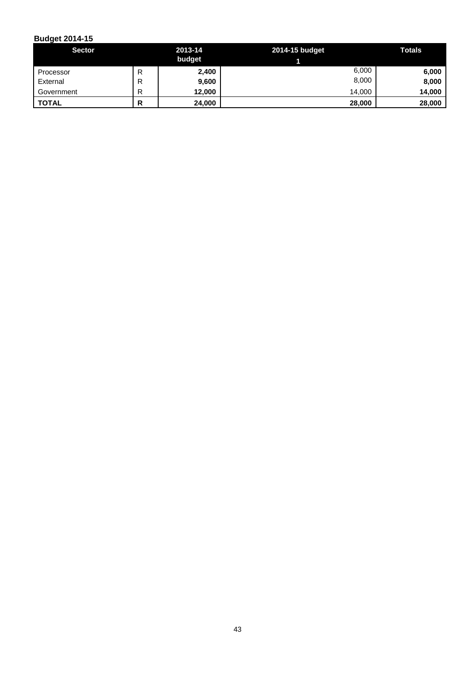| <b>Sector</b>         |             | 2013-14<br>budget | 2014-15 budget | Totals         |
|-----------------------|-------------|-------------------|----------------|----------------|
| Processor<br>External | D<br>ĸ<br>R | 2,400<br>9,600    | 6,000<br>8,000 | 6,000<br>8,000 |
| Government            | D           | 12,000            | 14,000         | 14,000         |
| <b>TOTAL</b>          | D<br>n      | 24,000            | 28,000         | 28,000         |